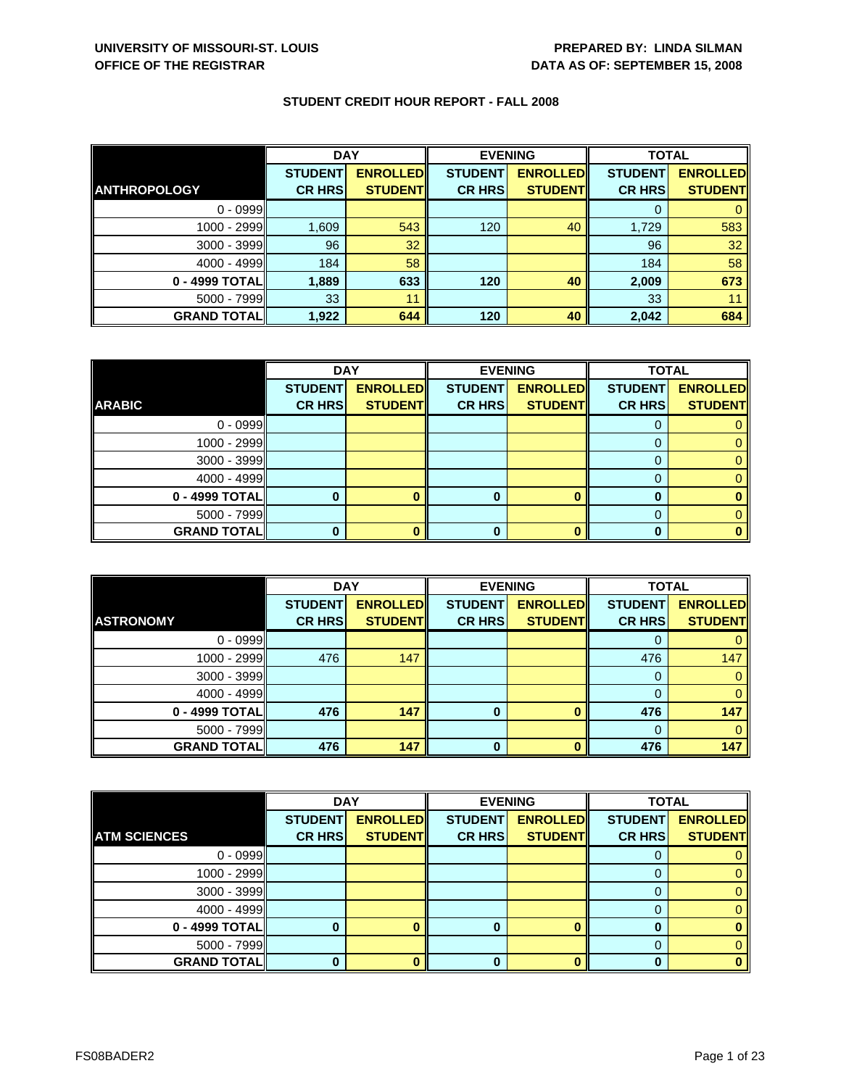|                      | <b>DAY</b>     |                 | <b>EVENING</b> |                 | <b>TOTAL</b>   |                 |
|----------------------|----------------|-----------------|----------------|-----------------|----------------|-----------------|
|                      | <b>STUDENT</b> | <b>ENROLLED</b> | <b>STUDENT</b> | <b>ENROLLED</b> | <b>STUDENT</b> | <b>ENROLLED</b> |
| <b>ANTHROPOLOGY</b>  | <b>CR HRS</b>  | <b>STUDENT</b>  | <b>CR HRS</b>  | <b>STUDENT</b>  | <b>CR HRS</b>  | <b>STUDENT</b>  |
| $0 - 0999$           |                |                 |                |                 |                |                 |
| 1000 - 2999          | 1,609          | 543             | 120            | 40              | 1,729          | 583             |
| 3000 - 3999          | 96             | 32              |                |                 | 96             | 32              |
| $4000 - 4999$        | 184            | 58              |                |                 | 184            | 58              |
| 0 - 4999 TOTAL       | 1,889          | 633             | 120            | 40              | 2,009          | 673             |
| 5000 - 7999          | 33             | 11              |                |                 | 33             |                 |
| <b>GRAND TOTAL  </b> | 1,922          | 644             | 120            | 40              | 2,042          | 684             |

|                    | <b>DAY</b>     |                 | <b>EVENING</b> |                 | <b>TOTAL</b>   |                 |
|--------------------|----------------|-----------------|----------------|-----------------|----------------|-----------------|
|                    | <b>STUDENT</b> | <b>ENROLLED</b> | <b>STUDENT</b> | <b>ENROLLED</b> | <b>STUDENT</b> | <b>ENROLLED</b> |
| <b>ARABIC</b>      | <b>CR HRS</b>  | <b>STUDENT</b>  | <b>CR HRS</b>  | <b>STUDENT</b>  | <b>CR HRS</b>  | <b>STUDENT</b>  |
| $0 - 0999$         |                |                 |                |                 |                |                 |
| 1000 - 2999        |                |                 |                |                 |                |                 |
| $3000 - 3999$      |                |                 |                |                 |                |                 |
| $4000 - 4999$      |                |                 |                |                 |                |                 |
| 0 - 4999 TOTAL     |                |                 | 0              |                 |                |                 |
| $5000 - 7999$      |                |                 |                |                 |                |                 |
| <b>GRAND TOTAL</b> |                |                 | 0              |                 |                |                 |

|                    | <b>DAY</b>     |                 |                | <b>EVENING</b>  | <b>TOTAL</b>   |                 |
|--------------------|----------------|-----------------|----------------|-----------------|----------------|-----------------|
|                    | <b>STUDENT</b> | <b>ENROLLED</b> | <b>STUDENT</b> | <b>ENROLLED</b> | <b>STUDENT</b> | <b>ENROLLED</b> |
| <b>ASTRONOMY</b>   | <b>CR HRS</b>  | <b>STUDENT</b>  | <b>CR HRS</b>  | <b>STUDENT</b>  | <b>CR HRS</b>  | <b>STUDENT</b>  |
| $0 - 0999$         |                |                 |                |                 |                |                 |
| $1000 - 2999$      | 476            | 147             |                |                 | 476            | 147             |
| $3000 - 3999$      |                |                 |                |                 |                |                 |
| $4000 - 4999$      |                |                 |                |                 |                |                 |
| 0 - 4999 TOTAL     | 476            | 147             | $\bf{0}$       |                 | 476            | 147             |
| $5000 - 7999$      |                |                 |                |                 |                |                 |
| <b>GRAND TOTAL</b> | 476            | 147             | $\bf{0}$       |                 | 476            | 147             |

|                     | <b>DAY</b>     |                 | <b>EVENING</b> |                 | <b>TOTAL</b>   |                 |
|---------------------|----------------|-----------------|----------------|-----------------|----------------|-----------------|
|                     | <b>STUDENT</b> | <b>ENROLLED</b> | <b>STUDENT</b> | <b>ENROLLED</b> | <b>STUDENT</b> | <b>ENROLLED</b> |
| <b>ATM SCIENCES</b> | <b>CR HRS</b>  | <b>STUDENT</b>  | <b>CR HRS</b>  | <b>STUDENT</b>  | <b>CR HRS</b>  | <b>STUDENT</b>  |
| $0 - 0999$          |                |                 |                |                 |                |                 |
| 1000 - 2999         |                |                 |                |                 |                | 0               |
| 3000 - 3999         |                |                 |                |                 | 0              | 0               |
| 4000 - 4999         |                |                 |                |                 | 0              | 0               |
| 0 - 4999 TOTAL      |                |                 | 0              | Λ               | 0              | 0               |
| $5000 - 7999$       |                |                 |                |                 |                | O.              |
| <b>GRAND TOTAL</b>  |                |                 | 0              |                 | 0              |                 |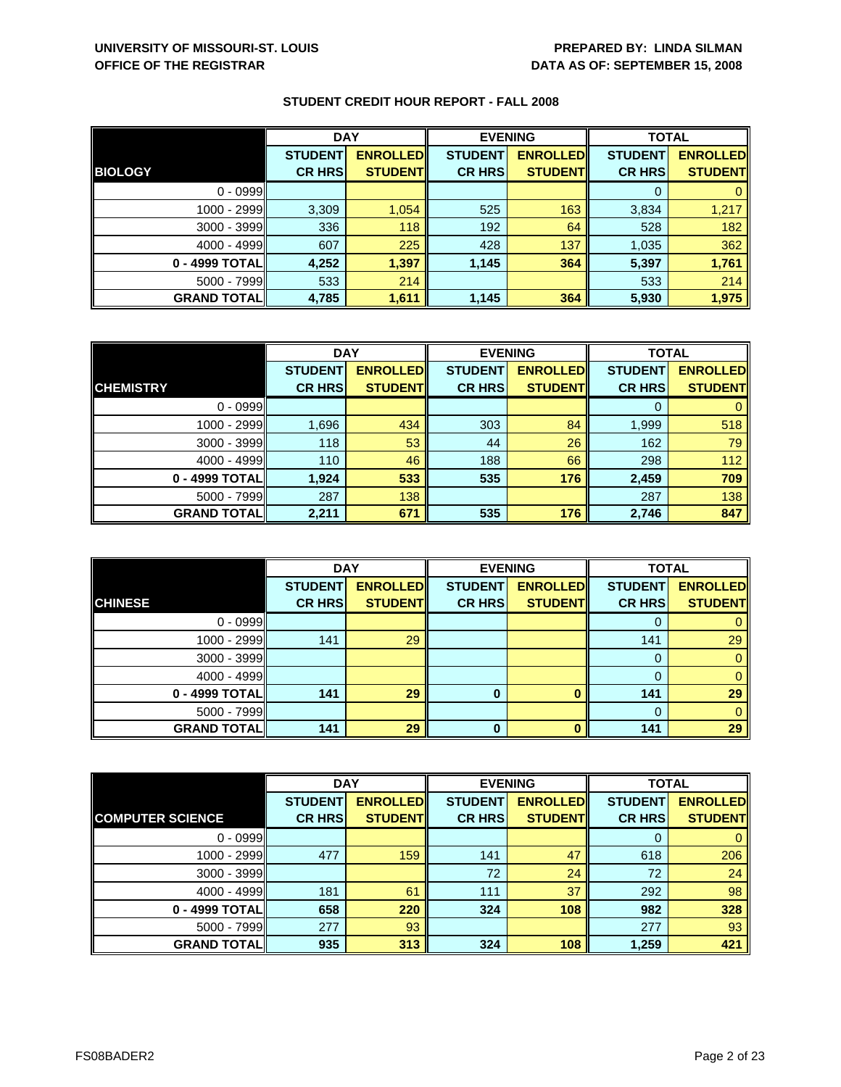|                    | <b>DAY</b>     |                 | <b>EVENING</b> |                 | <b>TOTAL</b>   |                 |
|--------------------|----------------|-----------------|----------------|-----------------|----------------|-----------------|
|                    | <b>STUDENT</b> | <b>ENROLLED</b> | <b>STUDENT</b> | <b>ENROLLED</b> | <b>STUDENT</b> | <b>ENROLLED</b> |
| <b>BIOLOGY</b>     | <b>CR HRS</b>  | <b>STUDENT</b>  | <b>CR HRS</b>  | <b>STUDENT</b>  | <b>CR HRS</b>  | <b>STUDENT</b>  |
| $0 - 0999$         |                |                 |                |                 |                |                 |
| 1000 - 2999        | 3,309          | 1,054           | 525            | 163             | 3,834          | 1,217           |
| 3000 - 3999        | 336            | 118             | 192            | 64              | 528            | 182             |
| $4000 - 4999$      | 607            | 225             | 428            | 137             | 1,035          | 362             |
| 0 - 4999 TOTAL     | 4,252          | 1,397           | 1,145          | 364             | 5,397          | 1,761           |
| $5000 - 7999$      | 533            | 214             |                |                 | 533            | 214             |
| <b>GRAND TOTAL</b> | 4,785          | 1,611           | 1,145          | 364             | 5,930          | 1,975           |

|                    | <b>DAY</b>     |                 | <b>EVENING</b> |                 | <b>TOTAL</b>   |                 |
|--------------------|----------------|-----------------|----------------|-----------------|----------------|-----------------|
|                    | <b>STUDENT</b> | <b>ENROLLED</b> | <b>STUDENT</b> | <b>ENROLLED</b> | <b>STUDENT</b> | <b>ENROLLED</b> |
| <b>CHEMISTRY</b>   | <b>CR HRS</b>  | <b>STUDENT</b>  | <b>CR HRS</b>  | <b>STUDENT</b>  | <b>CR HRS</b>  | <b>STUDENT</b>  |
| $0 - 0999$         |                |                 |                |                 |                |                 |
| 1000 - 2999        | 1,696          | 434             | 303            | 84              | 1,999          | 518             |
| $3000 - 3999$      | 118            | 53              | 44             | 26              | 162            | 79              |
| $4000 - 4999$      | 110            | 46              | 188            | 66              | 298            | 112             |
| 0 - 4999 TOTAL     | 1,924          | 533             | 535            | 176             | 2,459          | 709             |
| $5000 - 7999$      | 287            | 138             |                |                 | 287            | 138             |
| <b>GRAND TOTAL</b> | 2,211          | 671             | 535            | 176             | 2,746          | 847             |

|                    | <b>DAY</b>                      |                                   | <b>EVENING</b>                  |                                   | <b>TOTAL</b>                    |                                   |
|--------------------|---------------------------------|-----------------------------------|---------------------------------|-----------------------------------|---------------------------------|-----------------------------------|
| <b>CHINESE</b>     | <b>STUDENT</b><br><b>CR HRS</b> | <b>ENROLLED</b><br><b>STUDENT</b> | <b>STUDENT</b><br><b>CR HRS</b> | <b>ENROLLED</b><br><b>STUDENT</b> | <b>STUDENT</b><br><b>CR HRS</b> | <b>ENROLLED</b><br><b>STUDENT</b> |
|                    |                                 |                                   |                                 |                                   |                                 |                                   |
| $0 - 0999$         |                                 |                                   |                                 |                                   |                                 |                                   |
| $1000 - 2999$      | 141                             | 29                                |                                 |                                   | 141                             | 29                                |
| $3000 - 3999$      |                                 |                                   |                                 |                                   | 0                               | 0                                 |
| $4000 - 4999$      |                                 |                                   |                                 |                                   |                                 |                                   |
| 0 - 4999 TOTAL     | 141                             | 29                                | $\bf{0}$                        |                                   | 141                             | 29                                |
| $5000 - 7999$      |                                 |                                   |                                 |                                   |                                 |                                   |
| <b>GRAND TOTAL</b> | 141                             | 29                                | 0                               |                                   | 141                             | 29                                |

|                         | <b>DAY</b>     |                 | <b>EVENING</b> |                 | <b>TOTAL</b>   |                 |
|-------------------------|----------------|-----------------|----------------|-----------------|----------------|-----------------|
|                         | <b>STUDENT</b> | <b>ENROLLED</b> | <b>STUDENT</b> | <b>ENROLLED</b> | <b>STUDENT</b> | <b>ENROLLED</b> |
| <b>COMPUTER SCIENCE</b> | <b>CR HRS</b>  | <b>STUDENT</b>  | <b>CR HRS</b>  | <b>STUDENT</b>  | <b>CR HRS</b>  | <b>STUDENT</b>  |
| $0 - 0999$              |                |                 |                |                 | 0              | $\mathbf{0}$    |
| 1000 - 2999             | 477            | 159             | 141            | 47              | 618            | 206             |
| 3000 - 3999             |                |                 | 72             | 24              | 72             | 24              |
| $4000 - 4999$           | 181            | 61              | 111            | 37              | 292            | 98              |
| 0 - 4999 TOTAL          | 658            | 220             | 324            | 108             | 982            | 328             |
| $5000 - 7999$           | 277            | 93              |                |                 | 277            | 93              |
| <b>GRAND TOTAL</b>      | 935            | 313             | 324            | 108             | 1,259          | 421             |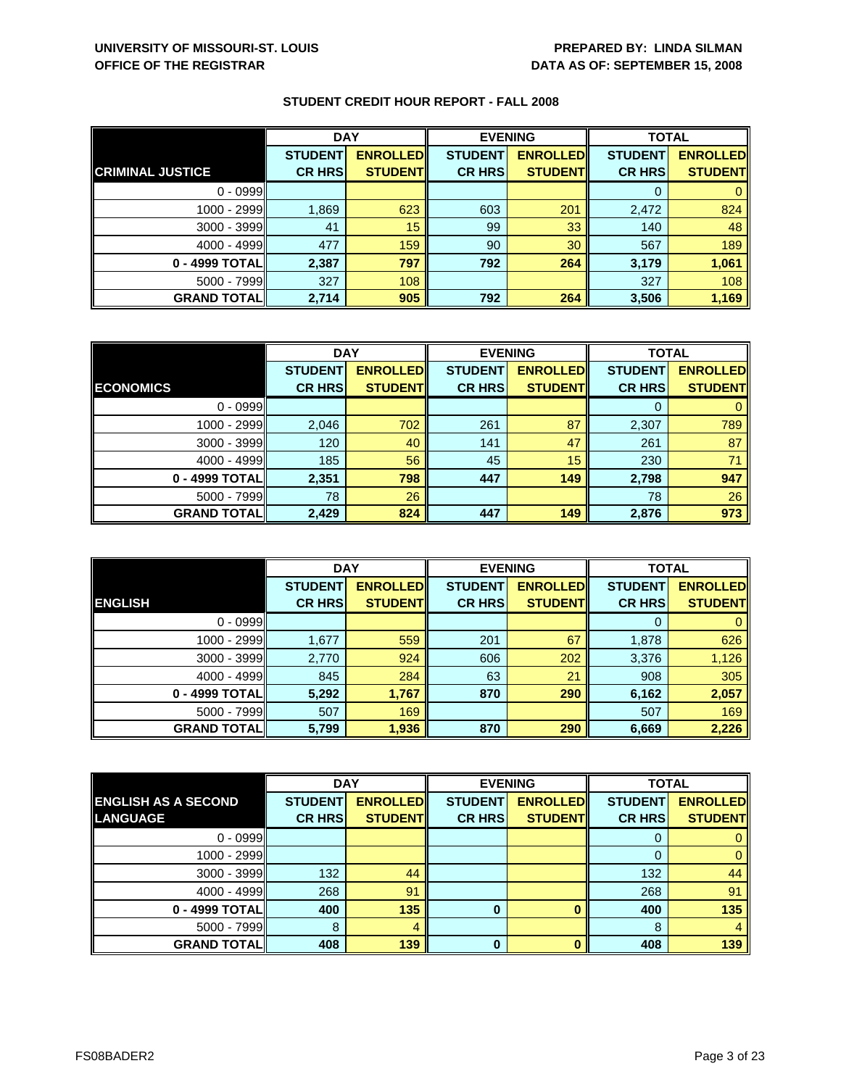|                         | <b>DAY</b>     |                 | <b>EVENING</b> |                 | <b>TOTAL</b>   |                 |
|-------------------------|----------------|-----------------|----------------|-----------------|----------------|-----------------|
|                         | <b>STUDENT</b> | <b>ENROLLED</b> | <b>STUDENT</b> | <b>ENROLLED</b> | <b>STUDENT</b> | <b>ENROLLED</b> |
| <b>CRIMINAL JUSTICE</b> | <b>CR HRS</b>  | <b>STUDENT</b>  | <b>CR HRS</b>  | <b>STUDENT</b>  | <b>CR HRS</b>  | <b>STUDENT</b>  |
| $0 - 0999$              |                |                 |                |                 |                |                 |
| 1000 - 2999             | 1,869          | 623             | 603            | 201             | 2,472          | 824             |
| 3000 - 3999             | 41             | 15              | 99             | 33              | 140            | 48              |
| $4000 - 4999$           | 477            | 159             | 90             | 30              | 567            | 189             |
| 0 - 4999 TOTAL          | 2,387          | 797             | 792            | 264             | 3,179          | 1,061           |
| $5000 - 7999$           | 327            | 108             |                |                 | 327            | 108             |
| <b>GRAND TOTAL</b>      | 2,714          | 905             | 792            | 264             | 3,506          | 1,169           |

|                    | <b>DAY</b>     |                 | <b>EVENING</b> |                 | <b>TOTAL</b>   |                 |
|--------------------|----------------|-----------------|----------------|-----------------|----------------|-----------------|
|                    | <b>STUDENT</b> | <b>ENROLLED</b> | <b>STUDENT</b> | <b>ENROLLED</b> | <b>STUDENT</b> | <b>ENROLLED</b> |
| <b>ECONOMICS</b>   | <b>CR HRS</b>  | <b>STUDENT</b>  | <b>CR HRS</b>  | <b>STUDENT</b>  | <b>CR HRS</b>  | <b>STUDENT</b>  |
| $0 - 0999$         |                |                 |                |                 |                |                 |
| 1000 - 2999        | 2,046          | 702             | 261            | 87              | 2,307          | 789             |
| 3000 - 3999        | 120            | 40              | 141            | 47              | 261            | 87              |
| $4000 - 4999$      | 185            | 56              | 45             | 15              | 230            | 71              |
| 0 - 4999 TOTAL     | 2,351          | 798             | 447            | 149             | 2,798          | 947             |
| $5000 - 7999$      | 78             | 26              |                |                 | 78             | 26              |
| <b>GRAND TOTAL</b> | 2,429          | 824             | 447            | 149             | 2,876          | 973             |

|                    | <b>DAY</b>     |                 | <b>EVENING</b> |                 | <b>TOTAL</b>   |                 |
|--------------------|----------------|-----------------|----------------|-----------------|----------------|-----------------|
|                    | <b>STUDENT</b> | <b>ENROLLED</b> | <b>STUDENT</b> | <b>ENROLLED</b> | <b>STUDENT</b> | <b>ENROLLED</b> |
| <b>ENGLISH</b>     | <b>CR HRS</b>  | <b>STUDENT</b>  | <b>CR HRS</b>  | <b>STUDENT</b>  | <b>CR HRS</b>  | <b>STUDENT</b>  |
| $0 - 0999$         |                |                 |                |                 |                |                 |
| 1000 - 2999        | 1,677          | 559             | 201            | 67              | 1,878          | 626             |
| 3000 - 3999        | 2,770          | 924             | 606            | 202             | 3,376          | 1,126           |
| $4000 - 4999$      | 845            | 284             | 63             | 21              | 908            | 305             |
| 0 - 4999 TOTAL     | 5,292          | 1,767           | 870            | 290             | 6,162          | 2,057           |
| $5000 - 7999$      | 507            | 169             |                |                 | 507            | 169             |
| <b>GRAND TOTAL</b> | 5,799          | 1,936           | 870            | 290             | 6,669          | 2,226           |

|                            | <b>DAY</b>     |                 |                | <b>EVENING</b>  | <b>TOTAL</b>   |                 |
|----------------------------|----------------|-----------------|----------------|-----------------|----------------|-----------------|
| <b>ENGLISH AS A SECOND</b> | <b>STUDENT</b> | <b>ENROLLED</b> | <b>STUDENT</b> | <b>ENROLLED</b> | <b>STUDENT</b> | <b>ENROLLED</b> |
| <b>LANGUAGE</b>            | <b>CR HRS</b>  | <b>STUDENT</b>  | <b>CR HRS</b>  | <b>STUDENT</b>  | <b>CR HRS</b>  | <b>STUDENT</b>  |
| $0 - 0999$                 |                |                 |                |                 |                |                 |
| $1000 - 2999$              |                |                 |                |                 | 0              |                 |
| $3000 - 3999$              | 132            | 44              |                |                 | 132            | 44              |
| $4000 - 4999$              | 268            | 91              |                |                 | 268            | 91              |
| 0 - 4999 TOTAL             | 400            | 135             | 0              |                 | 400            | 135             |
| $5000 - 7999$              | 8              | 4               |                |                 | 8              |                 |
| <b>GRAND TOTAL</b>         | 408            | 139             | 0              |                 | 408            | 139             |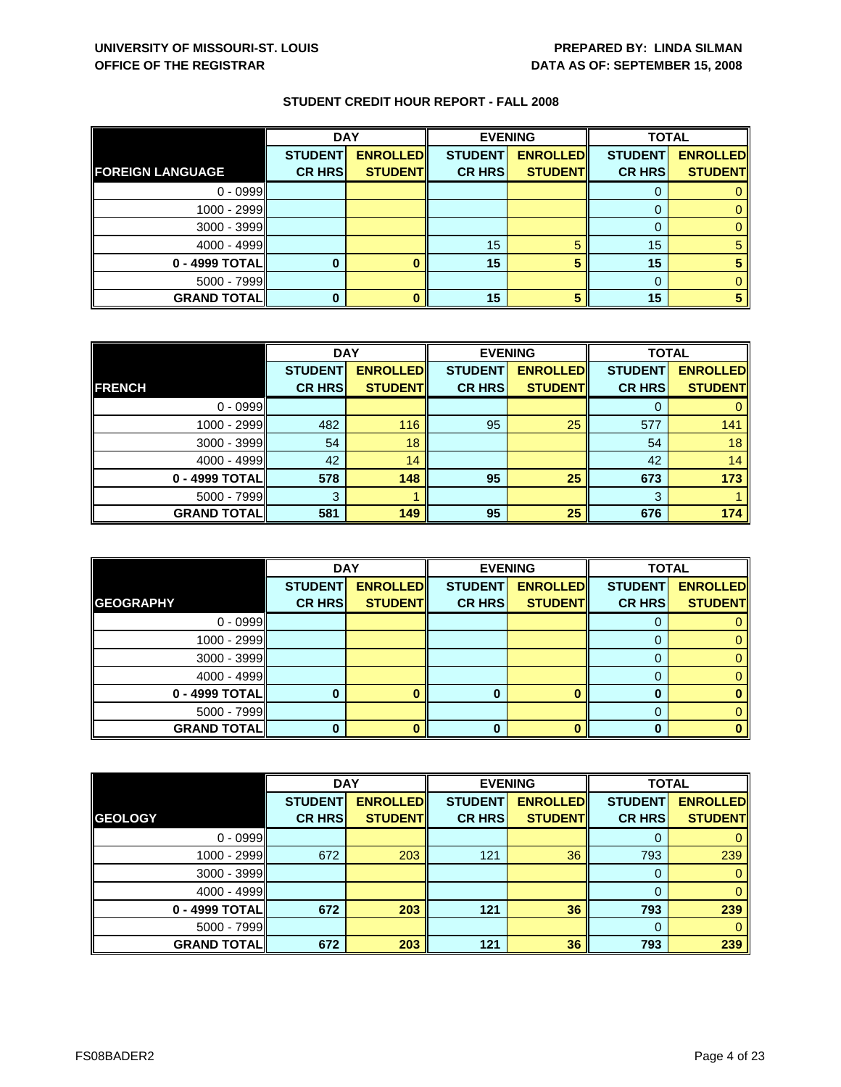|                         | <b>DAY</b>     |                 |                | <b>EVENING</b>  | <b>TOTAL</b>   |                 |
|-------------------------|----------------|-----------------|----------------|-----------------|----------------|-----------------|
|                         | <b>STUDENT</b> | <b>ENROLLED</b> | <b>STUDENT</b> | <b>ENROLLED</b> | <b>STUDENT</b> | <b>ENROLLED</b> |
| <b>FOREIGN LANGUAGE</b> | <b>CR HRS</b>  | <b>STUDENT</b>  | <b>CR HRS</b>  | <b>STUDENT</b>  | <b>CR HRS</b>  | <b>STUDENT</b>  |
| $0 - 0999$              |                |                 |                |                 |                |                 |
| $1000 - 2999$           |                |                 |                |                 |                |                 |
| $3000 - 3999$           |                |                 |                |                 |                |                 |
| $4000 - 4999$           |                |                 | 15             |                 | 15             |                 |
| $0 - 4999$ TOTAL        |                |                 | 15             |                 | 15             |                 |
| $5000 - 7999$           |                |                 |                |                 |                |                 |
| <b>GRAND TOTAL</b>      |                |                 | 15             |                 | 15             |                 |

|                    | <b>DAY</b>     |                 |                | <b>EVENING</b>  | <b>TOTAL</b>   |                 |
|--------------------|----------------|-----------------|----------------|-----------------|----------------|-----------------|
|                    | <b>STUDENT</b> | <b>ENROLLED</b> | <b>STUDENT</b> | <b>ENROLLED</b> | <b>STUDENT</b> | <b>ENROLLED</b> |
| <b>FRENCH</b>      | <b>CR HRS</b>  | <b>STUDENT</b>  | <b>CR HRS</b>  | <b>STUDENT</b>  | <b>CR HRS</b>  | <b>STUDENT</b>  |
| $0 - 0999$         |                |                 |                |                 |                |                 |
| $1000 - 2999$      | 482            | 116             | 95             | 25              | 577            | 141             |
| 3000 - 3999        | 54             | 18              |                |                 | 54             | 18              |
| $4000 - 4999$      | 42             | 14              |                |                 | 42             | 14              |
| 0 - 4999 TOTAL     | 578            | 148             | 95             | 25              | 673            | 173             |
| 5000 - 7999        | 3              |                 |                |                 | 3              |                 |
| <b>GRAND TOTAL</b> | 581            | 149             | 95             | 25              | 676            | 174             |

|                    | <b>DAY</b>     |                 |                | <b>EVENING</b>  | <b>TOTAL</b>   |                 |
|--------------------|----------------|-----------------|----------------|-----------------|----------------|-----------------|
|                    | <b>STUDENT</b> | <b>ENROLLED</b> | <b>STUDENT</b> | <b>ENROLLED</b> | <b>STUDENT</b> | <b>ENROLLED</b> |
| <b>GEOGRAPHY</b>   | <b>CR HRS</b>  | <b>STUDENT</b>  | <b>CR HRS</b>  | <b>STUDENT</b>  | <b>CR HRS</b>  | <b>STUDENT</b>  |
| $0 - 0999$         |                |                 |                |                 | O              | 0.              |
| $1000 - 2999$      |                |                 |                |                 |                | 0               |
| $3000 - 3999$      |                |                 |                |                 |                | 0               |
| $4000 - 4999$      |                |                 |                |                 | 0              | 0               |
| 0 - 4999 TOTAL     |                |                 |                |                 |                |                 |
| $5000 - 7999$      |                |                 |                |                 | 0              | 0               |
| <b>GRAND TOTAL</b> |                |                 | 0              |                 | 0              |                 |

|                    | <b>DAY</b>     |                 |                | <b>EVENING</b>  | <b>TOTAL</b>   |                 |
|--------------------|----------------|-----------------|----------------|-----------------|----------------|-----------------|
|                    | <b>STUDENT</b> | <b>ENROLLED</b> | <b>STUDENT</b> | <b>ENROLLED</b> | <b>STUDENT</b> | <b>ENROLLED</b> |
| <b>GEOLOGY</b>     | <b>CR HRS</b>  | <b>STUDENT</b>  | <b>CR HRS</b>  | <b>STUDENT</b>  | <b>CR HRS</b>  | <b>STUDENT</b>  |
| $0 - 0999$         |                |                 |                |                 | 0              | 0               |
| 1000 - 2999        | 672            | 203             | 121            | 36              | 793            | 239             |
| $3000 - 3999$      |                |                 |                |                 | 0              | $\mathbf{0}$    |
| $4000 - 4999$      |                |                 |                |                 | 0              | $\mathbf{0}$    |
| 0 - 4999 TOTAL     | 672            | 203             | 121            | 36              | 793            | 239             |
| $5000 - 7999$      |                |                 |                |                 | $\Omega$       | $\Omega$        |
| <b>GRAND TOTAL</b> | 672            | 203             | 121            | 36              | 793            | 239             |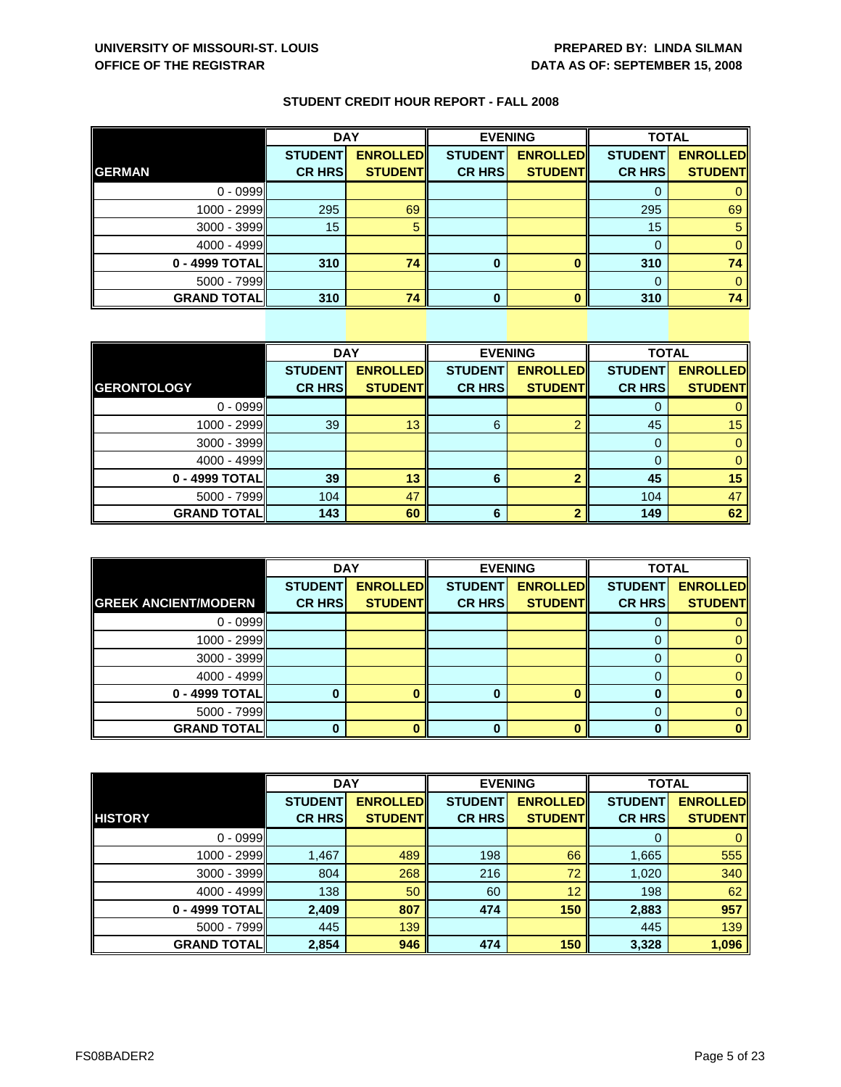|                    | <b>DAY</b>     |                 |                | <b>EVENING</b>  | <b>TOTAL</b>   |                 |
|--------------------|----------------|-----------------|----------------|-----------------|----------------|-----------------|
|                    | <b>STUDENT</b> | <b>ENROLLED</b> | <b>STUDENT</b> | <b>ENROLLED</b> | <b>STUDENT</b> | <b>ENROLLED</b> |
| <b>GERMAN</b>      | <b>CR HRS</b>  | <b>STUDENT</b>  | <b>CR HRS</b>  | <b>STUDENT</b>  | <b>CR HRS</b>  | <b>STUDENT</b>  |
| $0 - 0999$         |                |                 |                |                 | 0              |                 |
| $1000 - 2999$      | 295            | 69              |                |                 | 295            | 69              |
| $3000 - 3999$      | 15             |                 |                |                 | 15             |                 |
| $4000 - 4999$      |                |                 |                |                 | 0              |                 |
| 0 - 4999 TOTAL     | 310            | 74              | 0              |                 | 310            | 74              |
| $5000 - 7999$      |                |                 |                |                 | 0              |                 |
| <b>GRAND TOTAL</b> | 310            | 74              | ŋ              | Ω               | 310            | 74              |

|                    | <b>DAY</b>     |                 |                | <b>EVENING</b>  |                | <b>TOTAL</b>    |  |
|--------------------|----------------|-----------------|----------------|-----------------|----------------|-----------------|--|
|                    | <b>STUDENT</b> | <b>ENROLLED</b> | <b>STUDENT</b> | <b>ENROLLED</b> | <b>STUDENT</b> | <b>ENROLLED</b> |  |
| <b>GERONTOLOGY</b> | <b>CR HRS</b>  | <b>STUDENT</b>  | <b>CR HRS</b>  | <b>STUDENT</b>  | <b>CR HRS</b>  | <b>STUDENT</b>  |  |
| $0 - 0999$         |                |                 |                |                 |                | 0               |  |
| 1000 - 2999        | 39             | 13              | 6              | 0               | 45             | 15              |  |
| $3000 - 3999$      |                |                 |                |                 | 0              | $\mathbf{0}$    |  |
| $4000 - 4999$      |                |                 |                |                 | $\Omega$       | $\mathbf{0}$    |  |
| 0 - 4999 TOTAL     | 39             | 13              | 6              |                 | 45             | 15              |  |
| 5000 - 7999        | 104            | 47              |                |                 | 104            | 47              |  |
| <b>GRAND TOTAL</b> | 143            | 60              | 6              |                 | 149            | 62              |  |

|                             | <b>DAY</b>     |                 | <b>EVENING</b> |                 | <b>TOTAL</b>   |                 |
|-----------------------------|----------------|-----------------|----------------|-----------------|----------------|-----------------|
|                             | <b>STUDENT</b> | <b>ENROLLED</b> | <b>STUDENT</b> | <b>ENROLLED</b> | <b>STUDENT</b> | <b>ENROLLED</b> |
| <b>GREEK ANCIENT/MODERN</b> | <b>CR HRS</b>  | <b>STUDENT</b>  | <b>CR HRS</b>  | <b>STUDENT</b>  | <b>CR HRS</b>  | <b>STUDENT</b>  |
| $0 - 0999$                  |                |                 |                |                 | O              |                 |
| 1000 - 2999                 |                |                 |                |                 |                | 0               |
| $3000 - 3999$               |                |                 |                |                 | $\Omega$       | 0               |
| $4000 - 4999$               |                |                 |                |                 | 0              |                 |
| 0 - 4999 TOTAL              |                |                 | O              |                 |                |                 |
| $5000 - 7999$               |                |                 |                |                 | 0              |                 |
| <b>GRAND TOTAL</b>          |                |                 |                |                 |                |                 |

|                    | <b>DAY</b>     |                 |                | <b>EVENING</b>  | <b>TOTAL</b>   |                 |
|--------------------|----------------|-----------------|----------------|-----------------|----------------|-----------------|
|                    | <b>STUDENT</b> | <b>ENROLLED</b> | <b>STUDENT</b> | <b>ENROLLED</b> | <b>STUDENT</b> | <b>ENROLLED</b> |
| <b>HISTORY</b>     | <b>CR HRS</b>  | <b>STUDENT</b>  | <b>CR HRS</b>  | <b>STUDENT</b>  | <b>CR HRS</b>  | <b>STUDENT</b>  |
| $0 - 0999$         |                |                 |                |                 | 0              | $\mathbf{0}$    |
| 1000 - 2999        | 1,467          | 489             | 198            | 66              | 1,665          | 555             |
| $3000 - 3999$      | 804            | 268             | 216            | 72              | 1,020          | 340             |
| $4000 - 4999$      | 138            | 50              | 60             | 12              | 198            | 62              |
| 0 - 4999 TOTAL     | 2,409          | 807             | 474            | 150             | 2,883          | 957             |
| $5000 - 7999$      | 445            | 139             |                |                 | 445            | 139             |
| <b>GRAND TOTAL</b> | 2,854          | 946             | 474            | 150             | 3,328          | 1,096           |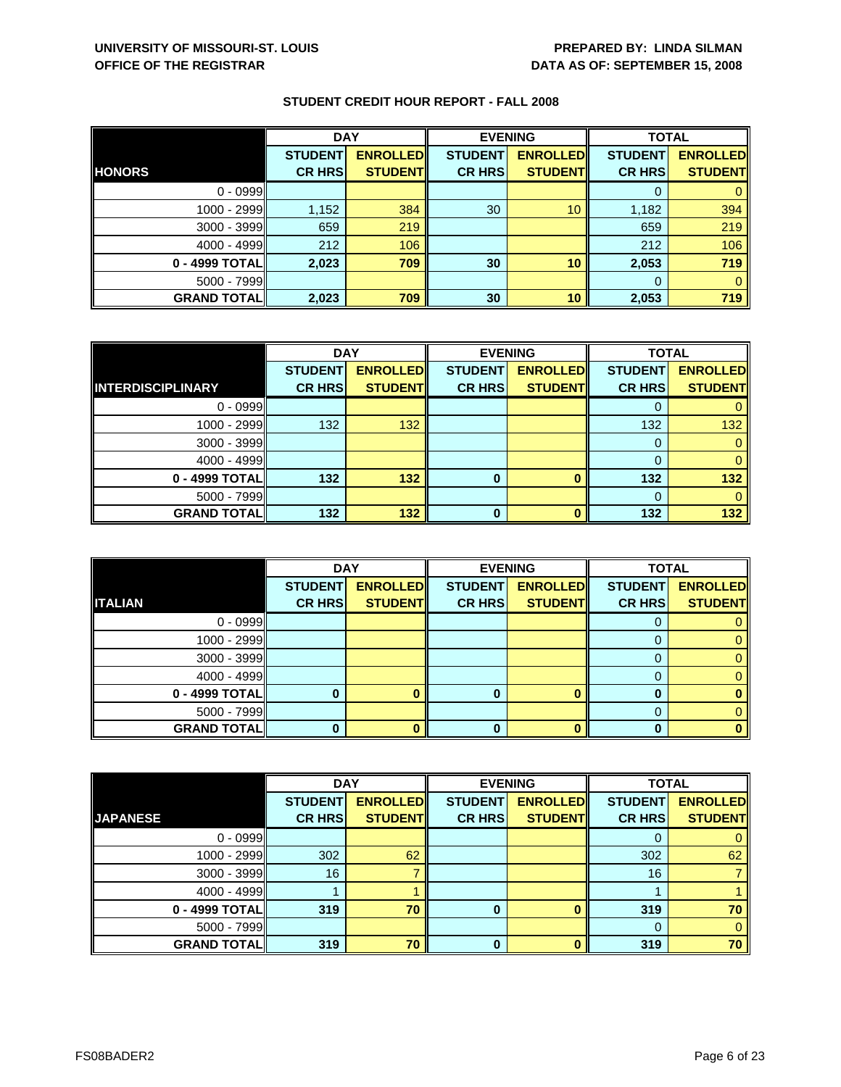|                    | <b>DAY</b>                      |                                   | <b>EVENING</b>                  |                                   | <b>TOTAL</b>                    |                                   |
|--------------------|---------------------------------|-----------------------------------|---------------------------------|-----------------------------------|---------------------------------|-----------------------------------|
| <b>HONORS</b>      | <b>STUDENT</b><br><b>CR HRS</b> | <b>ENROLLED</b><br><b>STUDENT</b> | <b>STUDENT</b><br><b>CR HRS</b> | <b>ENROLLED</b><br><b>STUDENT</b> | <b>STUDENT</b><br><b>CR HRS</b> | <b>ENROLLED</b><br><b>STUDENT</b> |
|                    |                                 |                                   |                                 |                                   |                                 |                                   |
| $0 - 0999$         |                                 |                                   |                                 |                                   |                                 |                                   |
| 1000 - 2999        | 1,152                           | 384                               | 30                              | 10                                | 1,182                           | 394                               |
| $3000 - 3999$      | 659                             | 219                               |                                 |                                   | 659                             | 219                               |
| $4000 - 4999$      | 212                             | 106                               |                                 |                                   | 212                             | 106                               |
| 0 - 4999 TOTALI    | 2,023                           | 709                               | 30                              | 10                                | 2,053                           | 719                               |
| $5000 - 7999$      |                                 |                                   |                                 |                                   | $\Omega$                        |                                   |
| <b>GRAND TOTAL</b> | 2,023                           | 709                               | 30                              | 10                                | 2,053                           | 719                               |

|                          | <b>DAY</b>     |                 | <b>EVENING</b> |                 | <b>TOTAL</b>   |                 |
|--------------------------|----------------|-----------------|----------------|-----------------|----------------|-----------------|
|                          | <b>STUDENT</b> | <b>ENROLLED</b> | <b>STUDENT</b> | <b>ENROLLED</b> | <b>STUDENT</b> | <b>ENROLLED</b> |
| <b>INTERDISCIPLINARY</b> | <b>CR HRS</b>  | <b>STUDENT</b>  | <b>CR HRS</b>  | <b>STUDENT</b>  | <b>CR HRS</b>  | <b>STUDENT</b>  |
| $0 - 0999$               |                |                 |                |                 |                |                 |
| 1000 - 2999              | 132            | 132             |                |                 | 132            | 132             |
| $3000 - 3999$            |                |                 |                |                 |                |                 |
| $4000 - 4999$            |                |                 |                |                 |                |                 |
| 0 - 4999 TOTAL           | 132            | 132             | 0              | $\Omega$        | 132            | 132             |
| $5000 - 7999$            |                |                 |                |                 |                |                 |
| <b>GRAND TOTAL</b>       | 132            | 132             | ŋ              | n               | 132            | 132             |

|                    | <b>DAY</b>     |                 |                | <b>EVENING</b>  | <b>TOTAL</b>   |                 |
|--------------------|----------------|-----------------|----------------|-----------------|----------------|-----------------|
|                    | <b>STUDENT</b> | <b>ENROLLED</b> | <b>STUDENT</b> | <b>ENROLLED</b> | <b>STUDENT</b> | <b>ENROLLED</b> |
| <b>ITALIAN</b>     | <b>CR HRS</b>  | <b>STUDENT</b>  | <b>CR HRS</b>  | <b>STUDENT</b>  | <b>CR HRS</b>  | <b>STUDENT</b>  |
| $0 - 0999$         |                |                 |                |                 | O              |                 |
| 1000 - 2999        |                |                 |                |                 |                |                 |
| $3000 - 3999$      |                |                 |                |                 |                |                 |
| $4000 - 4999$      |                |                 |                |                 | 0              |                 |
| 0 - 4999 TOTAL     |                |                 |                | ∩               |                |                 |
| $5000 - 7999$      |                |                 |                |                 |                |                 |
| <b>GRAND TOTAL</b> |                |                 | 0              |                 | O              |                 |

|                    | <b>DAY</b>     |                 | <b>EVENING</b> |                 | <b>TOTAL</b>   |                 |
|--------------------|----------------|-----------------|----------------|-----------------|----------------|-----------------|
|                    | <b>STUDENT</b> | <b>ENROLLED</b> | <b>STUDENT</b> | <b>ENROLLED</b> | <b>STUDENT</b> | <b>ENROLLED</b> |
| <b>JAPANESE</b>    | <b>CR HRS</b>  | <b>STUDENT</b>  | <b>CR HRS</b>  | <b>STUDENT</b>  | <b>CR HRS</b>  | <b>STUDENT</b>  |
| $0 - 0999$         |                |                 |                |                 |                | 0               |
| 1000 - 2999        | 302            | 62              |                |                 | 302            | 62              |
| $3000 - 3999$      | 16             |                 |                |                 | 16             |                 |
| $4000 - 4999$      |                |                 |                |                 |                |                 |
| $0 - 4999$ TOTAL   | 319            | 70              | 0              |                 | 319            | 70              |
| $5000 - 7999$      |                |                 |                |                 | $\Omega$       | $\Omega$        |
| <b>GRAND TOTAL</b> | 319            | 70              | O              |                 | 319            | 70              |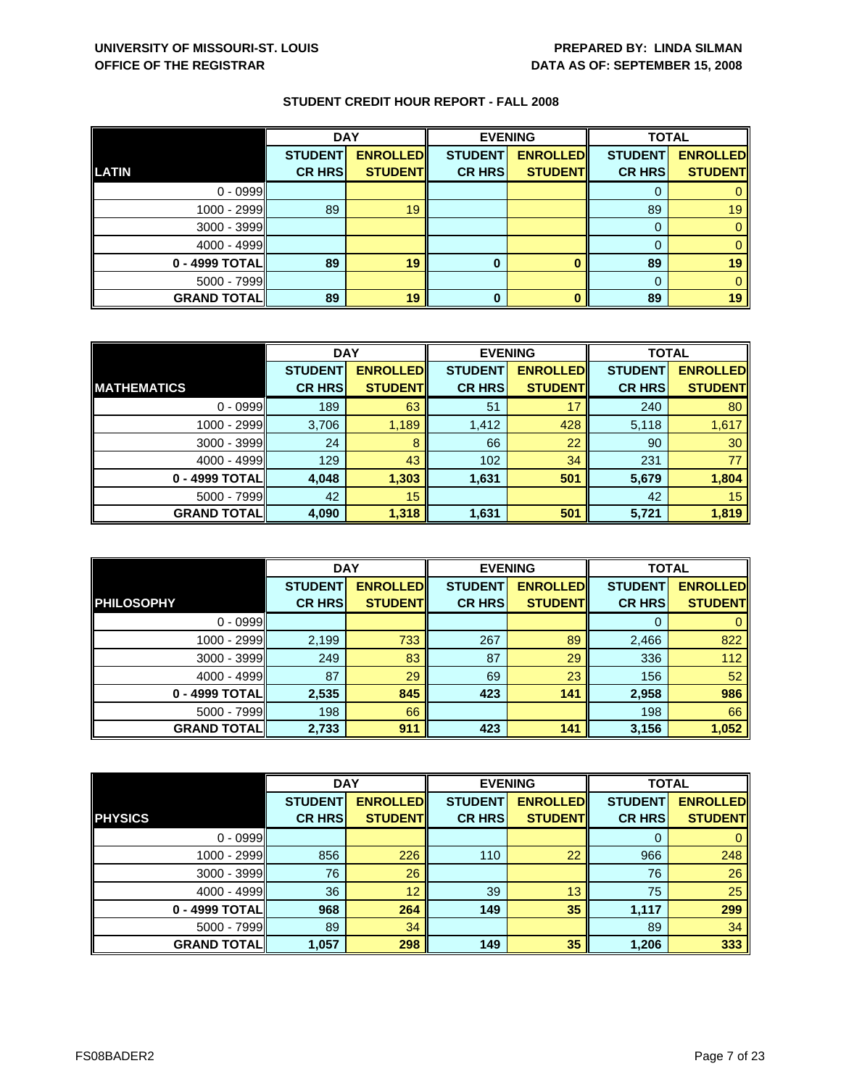|                    | <b>DAY</b>     |                 |                | <b>EVENING</b>  | <b>TOTAL</b>   |                 |
|--------------------|----------------|-----------------|----------------|-----------------|----------------|-----------------|
|                    | <b>STUDENT</b> | <b>ENROLLED</b> | <b>STUDENT</b> | <b>ENROLLED</b> | <b>STUDENT</b> | <b>ENROLLED</b> |
| LATIN              | <b>CR HRS</b>  | <b>STUDENT</b>  | <b>CR HRS</b>  | <b>STUDENT</b>  | <b>CR HRS</b>  | <b>STUDENT</b>  |
| $0 - 0999$         |                |                 |                |                 |                |                 |
| $1000 - 2999$      | 89             | 19              |                |                 | 89             | 19              |
| $3000 - 3999$      |                |                 |                |                 |                |                 |
| $4000 - 4999$      |                |                 |                |                 |                |                 |
| $0 - 4999$ TOTAL   | 89             | 19              | 0              |                 | 89             | 19              |
| $5000 - 7999$      |                |                 |                |                 | $\Omega$       |                 |
| <b>GRAND TOTAL</b> | 89             | 19              | 0              |                 | 89             | 19              |

|                    | <b>DAY</b>     |                 |                | <b>EVENING</b>  |                | <b>TOTAL</b>    |  |
|--------------------|----------------|-----------------|----------------|-----------------|----------------|-----------------|--|
|                    | <b>STUDENT</b> | <b>ENROLLED</b> | <b>STUDENT</b> | <b>ENROLLED</b> | <b>STUDENT</b> | <b>ENROLLED</b> |  |
| <b>MATHEMATICS</b> | <b>CR HRS</b>  | <b>STUDENT</b>  | <b>CR HRS</b>  | <b>STUDENT</b>  | <b>CR HRS</b>  | <b>STUDENT</b>  |  |
| $0 - 0999$         | 189            | 63              | 51             | 17              | 240            | 80              |  |
| 1000 - 2999        | 3,706          | 1,189           | 1,412          | 428             | 5,118          | 1,617           |  |
| $3000 - 3999$      | 24             | 8               | 66             | 22              | 90             | 30              |  |
| $4000 - 4999$      | 129            | 43              | 102            | 34              | 231            | 77              |  |
| 0 - 4999 TOTAL     | 4,048          | 1,303           | 1,631          | 501             | 5,679          | 1,804           |  |
| $5000 - 7999$      | 42             | 15              |                |                 | 42             | 15              |  |
| <b>GRAND TOTAL</b> | 4,090          | 1,318           | 1,631          | 501             | 5,721          | 1,819           |  |

|                    | <b>DAY</b>     |                 |                | <b>EVENING</b>  | <b>TOTAL</b>   |                 |
|--------------------|----------------|-----------------|----------------|-----------------|----------------|-----------------|
|                    | <b>STUDENT</b> | <b>ENROLLED</b> | <b>STUDENT</b> | <b>ENROLLED</b> | <b>STUDENT</b> | <b>ENROLLED</b> |
| <b>PHILOSOPHY</b>  | <b>CR HRS</b>  | <b>STUDENTI</b> | <b>CR HRS</b>  | <b>STUDENTI</b> | <b>CR HRS</b>  | <b>STUDENT</b>  |
| $0 - 0999$         |                |                 |                |                 | $\Omega$       |                 |
| 1000 - 2999        | 2,199          | 733             | 267            | 89              | 2,466          | 822             |
| 3000 - 3999        | 249            | 83              | 87             | 29              | 336            | 112             |
| $4000 - 4999$      | 87             | 29              | 69             | 23              | 156            | 52              |
| 0 - 4999 TOTAL     | 2,535          | 845             | 423            | 141             | 2,958          | 986             |
| $5000 - 7999$      | 198            | 66              |                |                 | 198            | 66              |
| <b>GRAND TOTAL</b> | 2,733          | 911             | 423            | 141             | 3,156          | 1,052           |

|                    | <b>DAY</b>     |                 | <b>EVENING</b> |                 | <b>TOTAL</b>   |                 |
|--------------------|----------------|-----------------|----------------|-----------------|----------------|-----------------|
|                    | <b>STUDENT</b> | <b>ENROLLED</b> | <b>STUDENT</b> | <b>ENROLLED</b> | <b>STUDENT</b> | <b>ENROLLED</b> |
| <b>PHYSICS</b>     | <b>CR HRS</b>  | <b>STUDENT</b>  | <b>CR HRS</b>  | <b>STUDENT</b>  | <b>CR HRS</b>  | <b>STUDENT</b>  |
| $0 - 0999$         |                |                 |                |                 | 0              | 0               |
| 1000 - 2999        | 856            | 226             | 110            | 22              | 966            | 248             |
| $3000 - 3999$      | 76             | 26              |                |                 | 76             | 26              |
| $4000 - 4999$      | 36             | 12              | 39             | 13              | 75             | 25              |
| 0 - 4999 TOTAL     | 968            | 264             | 149            | 35              | 1,117          | 299             |
| $5000 - 7999$      | 89             | 34              |                |                 | 89             | 34              |
| <b>GRAND TOTAL</b> | 1,057          | 298             | 149            | 35              | 1,206          | 333             |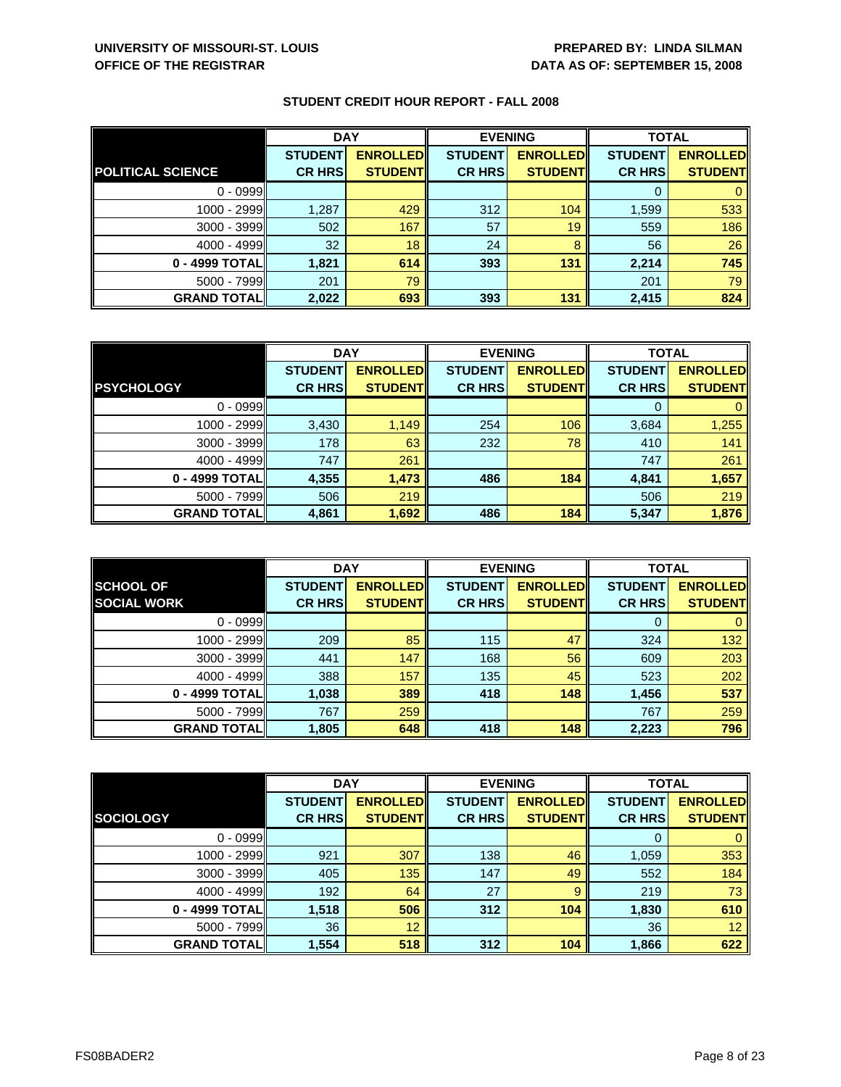|                    | <b>DAY</b>     |                 | <b>EVENING</b> |                 | <b>TOTAL</b>   |                 |
|--------------------|----------------|-----------------|----------------|-----------------|----------------|-----------------|
|                    | <b>STUDENT</b> | <b>ENROLLED</b> | <b>STUDENT</b> | <b>ENROLLED</b> | <b>STUDENT</b> | <b>ENROLLED</b> |
| POLITICAL SCIENCE  | <b>CR HRS</b>  | <b>STUDENT</b>  | <b>CR HRS</b>  | <b>STUDENT</b>  | <b>CR HRS</b>  | <b>STUDENT</b>  |
| $0 - 0999$         |                |                 |                |                 |                |                 |
| 1000 - 2999        | 1,287          | 429             | 312            | 104             | 1,599          | 533             |
| $3000 - 3999$      | 502            | 167             | 57             | 19              | 559            | 186             |
| $4000 - 4999$      | 32             | 18              | 24             | 8               | 56             | 26              |
| 0 - 4999 TOTAL     | 1,821          | 614             | 393            | 131             | 2,214          | 745             |
| $5000 - 7999$      | 201            | 79              |                |                 | 201            | 79              |
| <b>GRAND TOTAL</b> | 2,022          | 693             | 393            | 131             | 2,415          | 824             |

|                    | <b>DAY</b>     |                  | <b>EVENING</b> |                 | <b>TOTAL</b>   |                 |
|--------------------|----------------|------------------|----------------|-----------------|----------------|-----------------|
|                    | <b>STUDENT</b> | <b>ENROLLEDI</b> | <b>STUDENT</b> | <b>ENROLLED</b> | <b>STUDENT</b> | <b>ENROLLED</b> |
| <b>PSYCHOLOGY</b>  | <b>CR HRS</b>  | <b>STUDENT</b>   | <b>CR HRS</b>  | <b>STUDENT</b>  | <b>CR HRS</b>  | <b>STUDENT</b>  |
| $0 - 0999$         |                |                  |                |                 |                |                 |
| 1000 - 2999        | 3,430          | 1,149            | 254            | 106             | 3,684          | 1,255           |
| 3000 - 3999        | 178            | 63               | 232            | 78              | 410            | 141             |
| $4000 - 4999$      | 747            | 261              |                |                 | 747            | 261             |
| 0 - 4999 TOTAL     | 4,355          | 1,473            | 486            | 184             | 4,841          | 1,657           |
| $5000 - 7999$      | 506            | 219              |                |                 | 506            | 219             |
| <b>GRAND TOTAL</b> | 4,861          | 1,692            | 486            | 184             | 5,347          | 1,876           |

|                     | <b>DAY</b>     |                 | <b>EVENING</b> |                 | <b>TOTAL</b>   |                 |
|---------------------|----------------|-----------------|----------------|-----------------|----------------|-----------------|
| <b>SCHOOL OF</b>    | <b>STUDENT</b> | <b>ENROLLED</b> | <b>STUDENT</b> | <b>ENROLLED</b> | <b>STUDENT</b> | <b>ENROLLED</b> |
| <b>SOCIAL WORK</b>  | <b>CR HRS</b>  | <b>STUDENT</b>  | <b>CR HRS</b>  | <b>STUDENT</b>  | <b>CR HRS</b>  | <b>STUDENT</b>  |
| $0 - 0999$          |                |                 |                |                 | O              | $\mathbf{0}$    |
| 1000 - 2999         | 209            | 85              | 115            | 47              | 324            | 132             |
| $3000 - 3999$       | 441            | 147             | 168            | 56              | 609            | 203             |
| $4000 - 4999$       | 388            | 157             | 135            | 45              | 523            | 202             |
| 0 - 4999 TOTAL      | 1,038          | 389             | 418            | 148             | 1,456          | 537             |
| $5000 - 7999$       | 767            | 259             |                |                 | 767            | 259             |
| <b>GRAND TOTALI</b> | 1,805          | 648             | 418            | 148             | 2,223          | 796             |

|                    | <b>DAY</b>     |                 | <b>EVENING</b> |                 | <b>TOTAL</b>   |                 |
|--------------------|----------------|-----------------|----------------|-----------------|----------------|-----------------|
|                    | <b>STUDENT</b> | <b>ENROLLED</b> | <b>STUDENT</b> | <b>ENROLLED</b> | <b>STUDENT</b> | <b>ENROLLED</b> |
| <b>SOCIOLOGY</b>   | <b>CR HRS</b>  | <b>STUDENT</b>  | <b>CR HRS</b>  | <b>STUDENT</b>  | <b>CR HRS</b>  | <b>STUDENT</b>  |
| $0 - 0999$         |                |                 |                |                 | 0              | $\mathbf{0}$    |
| 1000 - 2999        | 921            | 307             | 138            | 46              | 1,059          | 353             |
| $3000 - 3999$      | 405            | 135             | 147            | 49              | 552            | 184             |
| $4000 - 4999$      | 192            | 64              | 27             | 9               | 219            | 73              |
| 0 - 4999 TOTAL     | 1,518          | 506             | 312            | 104             | 1,830          | 610             |
| $5000 - 7999$      | 36             | 12              |                |                 | 36             | 12 <sup>°</sup> |
| <b>GRAND TOTAL</b> | 1,554          | 518             | 312            | 104             | 1,866          | 622             |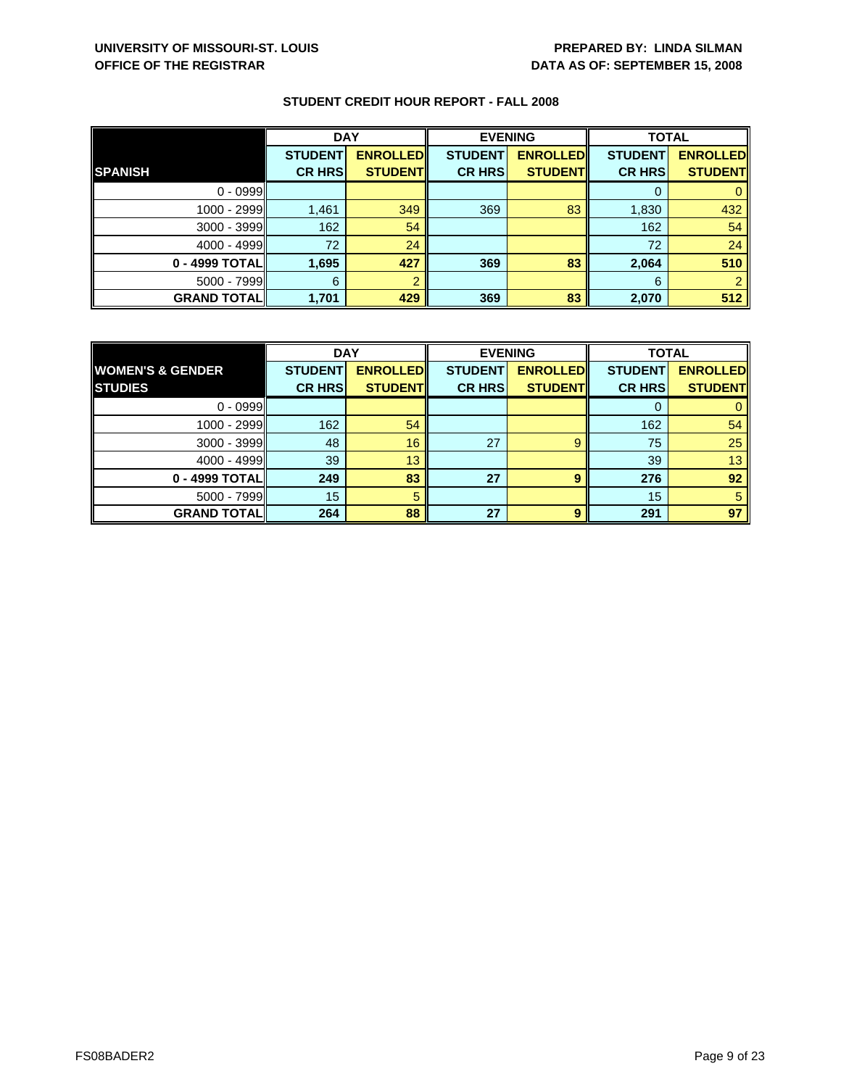|                    | <b>DAY</b>     |                 |                | <b>EVENING</b>  |                | <b>TOTAL</b>    |  |
|--------------------|----------------|-----------------|----------------|-----------------|----------------|-----------------|--|
|                    | <b>STUDENT</b> | <b>ENROLLED</b> | <b>STUDENT</b> | <b>ENROLLED</b> | <b>STUDENT</b> | <b>ENROLLED</b> |  |
| <b>SPANISH</b>     | <b>CR HRS</b>  | <b>STUDENT</b>  | <b>CR HRS</b>  | <b>STUDENT</b>  | <b>CR HRS</b>  | <b>STUDENT</b>  |  |
| $0 - 0999$         |                |                 |                |                 |                |                 |  |
| 1000 - 2999        | 1,461          | 349             | 369            | 83              | 1,830          | 432             |  |
| 3000 - 3999        | 162            | 54              |                |                 | 162            | 54              |  |
| $4000 - 4999$      | 72             | 24              |                |                 | 72             | 24              |  |
| 0 - 4999 TOTAL     | 1,695          | 427             | 369            | 83              | 2,064          | 510             |  |
| $5000 - 7999$      | 6              |                 |                |                 | 6              |                 |  |
| <b>GRAND TOTAL</b> | 1,701          | 429             | 369            | 83              | 2,070          | 512             |  |

|                             | <b>DAY</b>     |                 |                | <b>EVENING</b>  |                | <b>TOTAL</b>    |  |
|-----------------------------|----------------|-----------------|----------------|-----------------|----------------|-----------------|--|
| <b>WOMEN'S &amp; GENDER</b> | <b>STUDENT</b> | <b>ENROLLED</b> | <b>STUDENT</b> | <b>ENROLLED</b> | <b>STUDENT</b> | <b>ENROLLED</b> |  |
| <b>STUDIES</b>              | <b>CR HRS</b>  | <b>STUDENTI</b> | <b>CR HRS</b>  | <b>STUDENT</b>  | <b>CR HRS</b>  | <b>STUDENT</b>  |  |
| $0 - 0999$                  |                |                 |                |                 |                |                 |  |
| $1000 - 2999$               | 162            | 54              |                |                 | 162            | 54              |  |
| 3000 - 3999                 | 48             | 16              | 27             | 9               | 75             | 25              |  |
| $4000 - 4999$               | 39             | 13              |                |                 | 39             | 13              |  |
| 0 - 4999 TOTAL              | 249            | 83              | 27             | 9               | 276            | 92              |  |
| $5000 - 7999$               | 15             | 5               |                |                 | 15             | 5               |  |
| <b>GRAND TOTAL</b>          | 264            | 88              | 27             | 9               | 291            | 97              |  |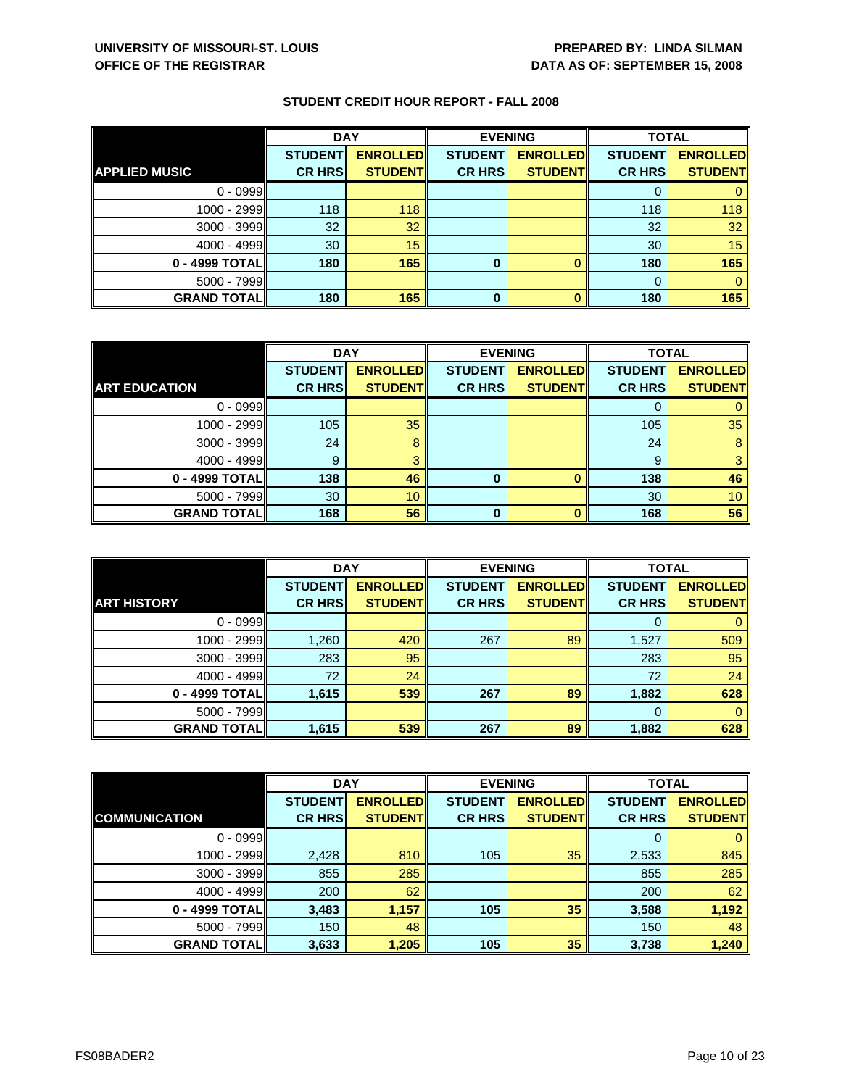|                      | <b>DAY</b>     |                 |                | <b>EVENING</b>  |                | <b>TOTAL</b>    |  |
|----------------------|----------------|-----------------|----------------|-----------------|----------------|-----------------|--|
|                      | <b>STUDENT</b> | <b>ENROLLED</b> | <b>STUDENT</b> | <b>ENROLLED</b> | <b>STUDENT</b> | <b>ENROLLED</b> |  |
| <b>APPLIED MUSIC</b> | <b>CR HRS</b>  | <b>STUDENT</b>  | <b>CR HRS</b>  | <b>STUDENT</b>  | <b>CR HRS</b>  | <b>STUDENT</b>  |  |
| $0 - 0999$           |                |                 |                |                 |                |                 |  |
| 1000 - 2999          | 118            | 118             |                |                 | 118            | 118             |  |
| $3000 - 3999$        | 32             | 32              |                |                 | 32             | 32              |  |
| $4000 - 4999$        | 30             | 15              |                |                 | 30             | 15              |  |
| 0 - 4999 TOTAL       | 180            | 165             | 0              |                 | 180            | 165             |  |
| $5000 - 7999$        |                |                 |                |                 | $\Omega$       |                 |  |
| <b>GRAND TOTAL</b>   | 180            | 165             | 0              |                 | 180            | 165             |  |

|                      | <b>DAY</b>     |                 |                | <b>EVENING</b>  |                | <b>TOTAL</b>    |  |
|----------------------|----------------|-----------------|----------------|-----------------|----------------|-----------------|--|
|                      | <b>STUDENT</b> | <b>ENROLLED</b> | <b>STUDENT</b> | <b>ENROLLED</b> | <b>STUDENT</b> | <b>ENROLLED</b> |  |
| <b>ART EDUCATION</b> | <b>CR HRS</b>  | <b>STUDENT</b>  | <b>CR HRS</b>  | <b>STUDENT</b>  | <b>CR HRS</b>  | <b>STUDENT</b>  |  |
| $0 - 0999$           |                |                 |                |                 |                |                 |  |
| 1000 - 2999          | 105            | 35              |                |                 | 105            | 35              |  |
| $3000 - 3999$        | 24             | 8               |                |                 | 24             | 8               |  |
| $4000 - 4999$        | 9              | 3               |                |                 | 9              | 3               |  |
| 0 - 4999 TOTAL       | 138            | 46              | 0              | $\Omega$        | 138            | 46              |  |
| $5000 - 7999$        | 30             | 10 <sup>°</sup> |                |                 | 30             | 10 <sup>1</sup> |  |
| <b>GRAND TOTAL</b>   | 168            | 56              | $\Omega$       | n               | 168            | 56              |  |

|                    | <b>DAY</b>                      |                                    |                                 | <b>EVENING</b>                     | <b>TOTAL</b>                    |                                   |
|--------------------|---------------------------------|------------------------------------|---------------------------------|------------------------------------|---------------------------------|-----------------------------------|
| <b>ART HISTORY</b> | <b>STUDENT</b><br><b>CR HRS</b> | <b>ENROLLED</b><br><b>STUDENTI</b> | <b>STUDENT</b><br><b>CR HRS</b> | <b>ENROLLED</b><br><b>STUDENTI</b> | <b>STUDENT</b><br><b>CR HRS</b> | <b>ENROLLED</b><br><b>STUDENT</b> |
|                    |                                 |                                    |                                 |                                    |                                 |                                   |
| $0 - 0999$         |                                 |                                    |                                 |                                    | 0                               |                                   |
| 1000 - 2999        | 1,260                           | 420                                | 267                             | 89                                 | 1,527                           | 509                               |
| 3000 - 3999        | 283                             | 95                                 |                                 |                                    | 283                             | 95                                |
| $4000 - 4999$      | 72                              | 24                                 |                                 |                                    | 72                              | 24                                |
| 0 - 4999 TOTAL     | 1,615                           | 539                                | 267                             | 89                                 | 1,882                           | 628                               |
| $5000 - 7999$      |                                 |                                    |                                 |                                    | 0                               | 0                                 |
| <b>GRAND TOTAL</b> | 1,615                           | 539                                | 267                             | 89                                 | 1,882                           | 628                               |

|                      | <b>DAY</b>     |                 | <b>EVENING</b> |                 | <b>TOTAL</b>   |                 |
|----------------------|----------------|-----------------|----------------|-----------------|----------------|-----------------|
|                      | <b>STUDENT</b> | <b>ENROLLED</b> | <b>STUDENT</b> | <b>ENROLLED</b> | <b>STUDENT</b> | <b>ENROLLED</b> |
| <b>COMMUNICATION</b> | <b>CR HRS</b>  | <b>STUDENT</b>  | <b>CR HRS</b>  | <b>STUDENT</b>  | <b>CR HRS</b>  | <b>STUDENT</b>  |
| $0 - 0999$           |                |                 |                |                 | O              | 0               |
| 1000 - 2999          | 2,428          | 810             | 105            | 35              | 2,533          | 845             |
| $3000 - 3999$        | 855            | 285             |                |                 | 855            | 285             |
| $4000 - 4999$        | 200            | 62              |                |                 | 200            | 62              |
| 0 - 4999 TOTAL       | 3,483          | 1,157           | 105            | 35              | 3,588          | 1,192           |
| $5000 - 7999$        | 150            | 48              |                |                 | 150            | 48              |
| <b>GRAND TOTAL</b>   | 3,633          | 1,205           | 105            | 35              | 3,738          | 1,240           |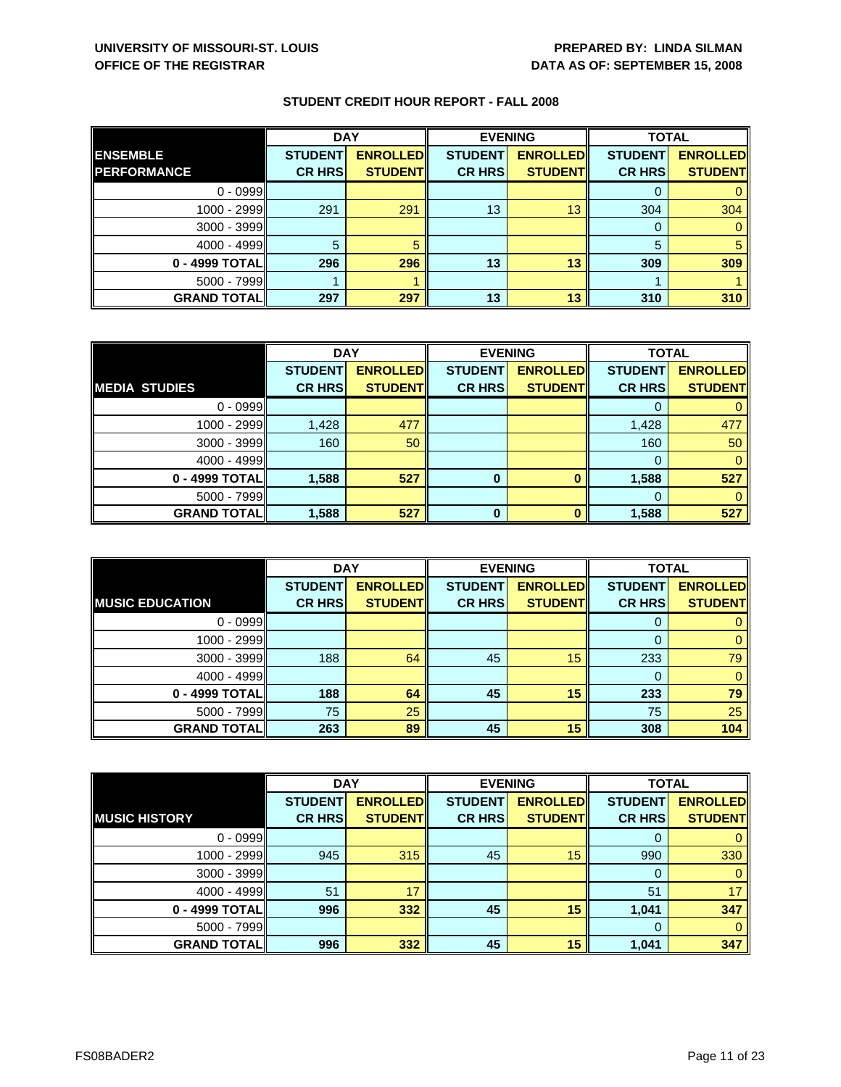|                    | <b>DAY</b>     |                 | <b>EVENING</b> |                 | <b>TOTAL</b>   |                 |
|--------------------|----------------|-----------------|----------------|-----------------|----------------|-----------------|
| <b>ENSEMBLE</b>    | <b>STUDENT</b> | <b>ENROLLED</b> | <b>STUDENT</b> | <b>ENROLLED</b> | <b>STUDENT</b> | <b>ENROLLED</b> |
| <b>PERFORMANCE</b> | <b>CR HRS</b>  | <b>STUDENT</b>  | <b>CR HRS</b>  | <b>STUDENT</b>  | <b>CR HRS</b>  | <b>STUDENT</b>  |
| $0 - 0999$         |                |                 |                |                 |                |                 |
| $1000 - 2999$      | 291            | 291             | 13             | 13              | 304            | 304             |
| $3000 - 3999$      |                |                 |                |                 | 0              |                 |
| $4000 - 4999$      |                |                 |                |                 | 5              | 5               |
| $0 - 4999$ TOTAL   | 296            | 296             | 13             | 13              | 309            | 309             |
| $5000 - 7999$      |                |                 |                |                 |                |                 |
| <b>GRAND TOTAL</b> | 297            | 297             | 13             | 13              | 310            | 310             |

|                      | <b>DAY</b>     |                 |                | <b>EVENING</b>  | <b>TOTAL</b>   |                 |
|----------------------|----------------|-----------------|----------------|-----------------|----------------|-----------------|
|                      | <b>STUDENT</b> | <b>ENROLLED</b> | <b>STUDENT</b> | <b>ENROLLED</b> | <b>STUDENT</b> | <b>ENROLLED</b> |
| <b>MEDIA STUDIES</b> | <b>CR HRS</b>  | <b>STUDENT</b>  | <b>CR HRS</b>  | <b>STUDENT</b>  | <b>CR HRS</b>  | <b>STUDENT</b>  |
| $0 - 0999$           |                |                 |                |                 |                |                 |
| 1000 - 2999          | 1,428          | 477             |                |                 | 1,428          | 477             |
| $3000 - 3999$        | 160            | 50              |                |                 | 160            | 50              |
| 4000 - 4999          |                |                 |                |                 | $\Omega$       | 0               |
| 0 - 4999 TOTAL       | 1,588          | 527             | 0              | 0               | 1,588          | 527             |
| 5000 - 7999          |                |                 |                |                 |                |                 |
| <b>GRAND TOTAL</b>   | 1,588          | 527             | ŋ              | n               | 1,588          | 527             |

|                        | <b>DAY</b>                      |                                   | <b>EVENING</b>                  |                                   | <b>TOTAL</b>                    |                                   |
|------------------------|---------------------------------|-----------------------------------|---------------------------------|-----------------------------------|---------------------------------|-----------------------------------|
| <b>MUSIC EDUCATION</b> | <b>STUDENT</b><br><b>CR HRS</b> | <b>ENROLLED</b><br><b>STUDENT</b> | <b>STUDENT</b><br><b>CR HRS</b> | <b>ENROLLED</b><br><b>STUDENT</b> | <b>STUDENT</b><br><b>CR HRS</b> | <b>ENROLLED</b><br><b>STUDENT</b> |
|                        |                                 |                                   |                                 |                                   |                                 |                                   |
| $0 - 0999$             |                                 |                                   |                                 |                                   | Ü                               |                                   |
| 1000 - 2999            |                                 |                                   |                                 |                                   |                                 |                                   |
| $3000 - 3999$          | 188                             | 64                                | 45                              | 15                                | 233                             | 79                                |
| $4000 - 4999$          |                                 |                                   |                                 |                                   |                                 | 0                                 |
| 0 - 4999 TOTAL         | 188                             | 64                                | 45                              | 15                                | 233                             | 79                                |
| $5000 - 7999$          | 75                              | 25                                |                                 |                                   | 75                              | 25                                |
| <b>GRAND TOTALI</b>    | 263                             | 89                                | 45                              | 15                                | 308                             | 104                               |

|                      | <b>DAY</b>     |                 | <b>EVENING</b> |                 | <b>TOTAL</b>   |                 |
|----------------------|----------------|-----------------|----------------|-----------------|----------------|-----------------|
|                      | <b>STUDENT</b> | <b>ENROLLED</b> | <b>STUDENT</b> | <b>ENROLLED</b> | <b>STUDENT</b> | <b>ENROLLED</b> |
| <b>MUSIC HISTORY</b> | <b>CR HRS</b>  | <b>STUDENT</b>  | <b>CR HRS</b>  | <b>STUDENT</b>  | <b>CR HRS</b>  | <b>STUDENT</b>  |
| $0 - 0999$           |                |                 |                |                 | 0              | $\mathbf{0}$    |
| 1000 - 2999          | 945            | 315             | 45             | 15              | 990            | 330             |
| $3000 - 3999$        |                |                 |                |                 | 0              | $\mathbf{0}$    |
| 4000 - 4999          | 51             | 17              |                |                 | 51             | 17              |
| 0 - 4999 TOTAL       | 996            | 332             | 45             | 15              | 1,041          | 347             |
| $5000 - 7999$        |                |                 |                |                 | $\Omega$       | $\mathbf{0}$    |
| <b>GRAND TOTAL</b>   | 996            | 332             | 45             | 15              | 1,041          | 347             |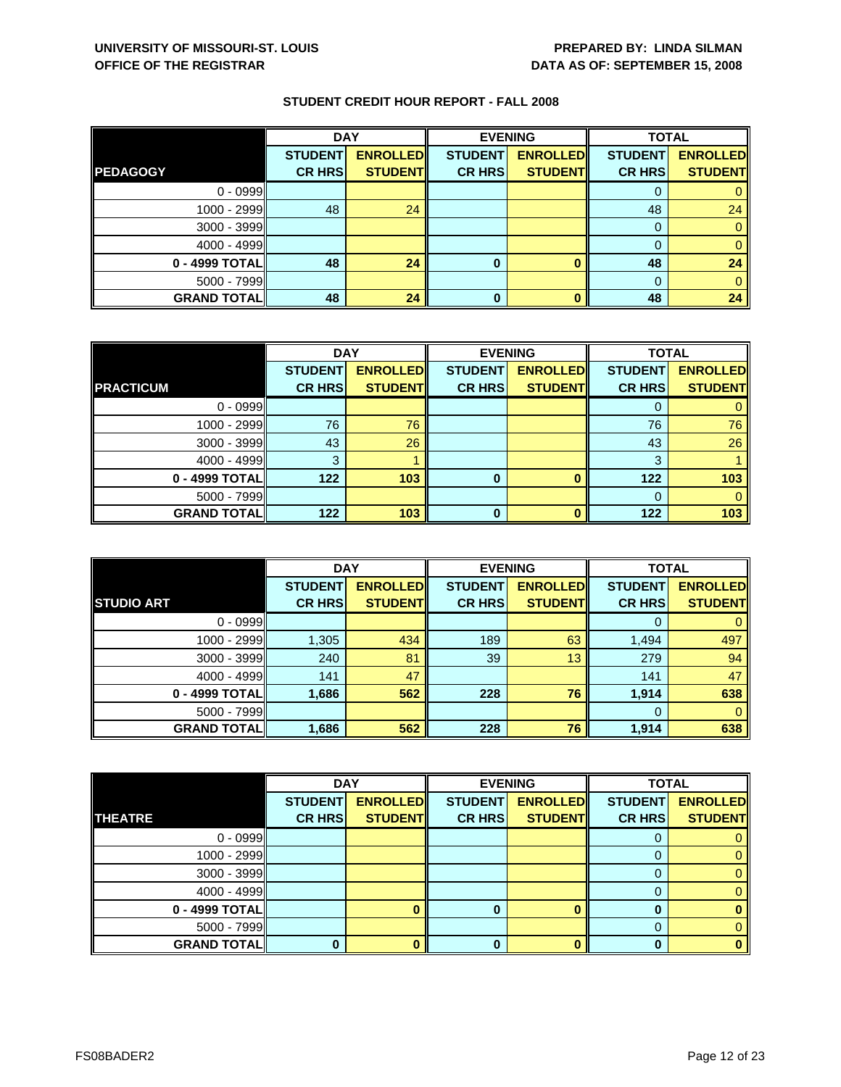|                    | <b>DAY</b>     |                 | <b>EVENING</b> |                 | <b>TOTAL</b>   |                 |
|--------------------|----------------|-----------------|----------------|-----------------|----------------|-----------------|
|                    | <b>STUDENT</b> | <b>ENROLLED</b> | <b>STUDENT</b> | <b>ENROLLED</b> | <b>STUDENT</b> | <b>ENROLLED</b> |
| <b>PEDAGOGY</b>    | <b>CR HRS</b>  | <b>STUDENT</b>  | <b>CR HRS</b>  | <b>STUDENT</b>  | <b>CR HRS</b>  | <b>STUDENT</b>  |
| $0 - 0999$         |                |                 |                |                 |                |                 |
| $1000 - 2999$      | 48             | 24              |                |                 | 48             | 24              |
| $3000 - 3999$      |                |                 |                |                 |                |                 |
| $4000 - 4999$      |                |                 |                |                 |                |                 |
| 0 - 4999 TOTAL     | 48             | 24              | 0              |                 | 48             | 24              |
| $5000 - 7999$      |                |                 |                |                 |                |                 |
| <b>GRAND TOTAL</b> | 48             | 24              | 0              |                 | 48             | 24              |

|                    | <b>DAY</b>     |                 | <b>EVENING</b> |                 | <b>TOTAL</b>   |                 |
|--------------------|----------------|-----------------|----------------|-----------------|----------------|-----------------|
|                    | <b>STUDENT</b> | <b>ENROLLED</b> | <b>STUDENT</b> | <b>ENROLLED</b> | <b>STUDENT</b> | <b>ENROLLED</b> |
| <b>PRACTICUM</b>   | <b>CR HRS</b>  | <b>STUDENT</b>  | <b>CR HRS</b>  | <b>STUDENT</b>  | <b>CR HRS</b>  | <b>STUDENT</b>  |
| $0 - 0999$         |                |                 |                |                 |                |                 |
| 1000 - 2999        | 76             | 76              |                |                 | 76             | 76              |
| $3000 - 3999$      | 43             | 26              |                |                 | 43             | 26              |
| $4000 - 4999$      | 3              |                 |                |                 | 3              |                 |
| 0 - 4999 TOTAL     | 122            | 103             | 0              |                 | 122            | 103             |
| $5000 - 7999$      |                |                 |                |                 | 0              |                 |
| <b>GRAND TOTAL</b> | 122            | 103             | ŋ              |                 | 122            | 103             |

|                    | <b>DAY</b>                      |                                   | <b>EVENING</b>                  |                                   | <b>TOTAL</b>                    |                                   |
|--------------------|---------------------------------|-----------------------------------|---------------------------------|-----------------------------------|---------------------------------|-----------------------------------|
| <b>STUDIO ART</b>  | <b>STUDENT</b><br><b>CR HRS</b> | <b>ENROLLED</b><br><b>STUDENT</b> | <b>STUDENT</b><br><b>CR HRS</b> | <b>ENROLLED</b><br><b>STUDENT</b> | <b>STUDENT</b><br><b>CR HRS</b> | <b>ENROLLED</b><br><b>STUDENT</b> |
|                    |                                 |                                   |                                 |                                   |                                 |                                   |
| $0 - 0999$         |                                 |                                   |                                 |                                   | O                               |                                   |
| 1000 - 2999        | 1,305                           | 434                               | 189                             | 63                                | 1,494                           | 497                               |
| $3000 - 3999$      | 240                             | 81                                | 39                              | 13                                | 279                             | 94                                |
| $4000 - 4999$      | 141                             | 47                                |                                 |                                   | 141                             | 47                                |
| 0 - 4999 TOTAL     | 1,686                           | 562                               | 228                             | 76                                | 1,914                           | 638                               |
| $5000 - 7999$      |                                 |                                   |                                 |                                   | 0                               | 0                                 |
| <b>GRAND TOTAL</b> | 1,686                           | 562                               | 228                             | 76                                | 1,914                           | 638                               |

|                    | <b>DAY</b>     |                 |                | <b>EVENING</b>  | <b>TOTAL</b>   |                 |
|--------------------|----------------|-----------------|----------------|-----------------|----------------|-----------------|
|                    | <b>STUDENT</b> | <b>ENROLLED</b> | <b>STUDENT</b> | <b>ENROLLED</b> | <b>STUDENT</b> | <b>ENROLLED</b> |
| <b>THEATRE</b>     | <b>CR HRS</b>  | <b>STUDENT</b>  | <b>CR HRS</b>  | <b>STUDENT</b>  | <b>CR HRS</b>  | <b>STUDENT</b>  |
| $0 - 0999$         |                |                 |                |                 |                |                 |
| $1000 - 2999$      |                |                 |                |                 |                | 0               |
| $3000 - 3999$      |                |                 |                |                 | O              | 0.              |
| $4000 - 4999$      |                |                 |                |                 |                |                 |
| $0 - 4999$ TOTAL   |                |                 |                |                 |                |                 |
| $5000 - 7999$      |                |                 |                |                 | 0              |                 |
| <b>GRAND TOTAL</b> |                |                 |                |                 | n              | o               |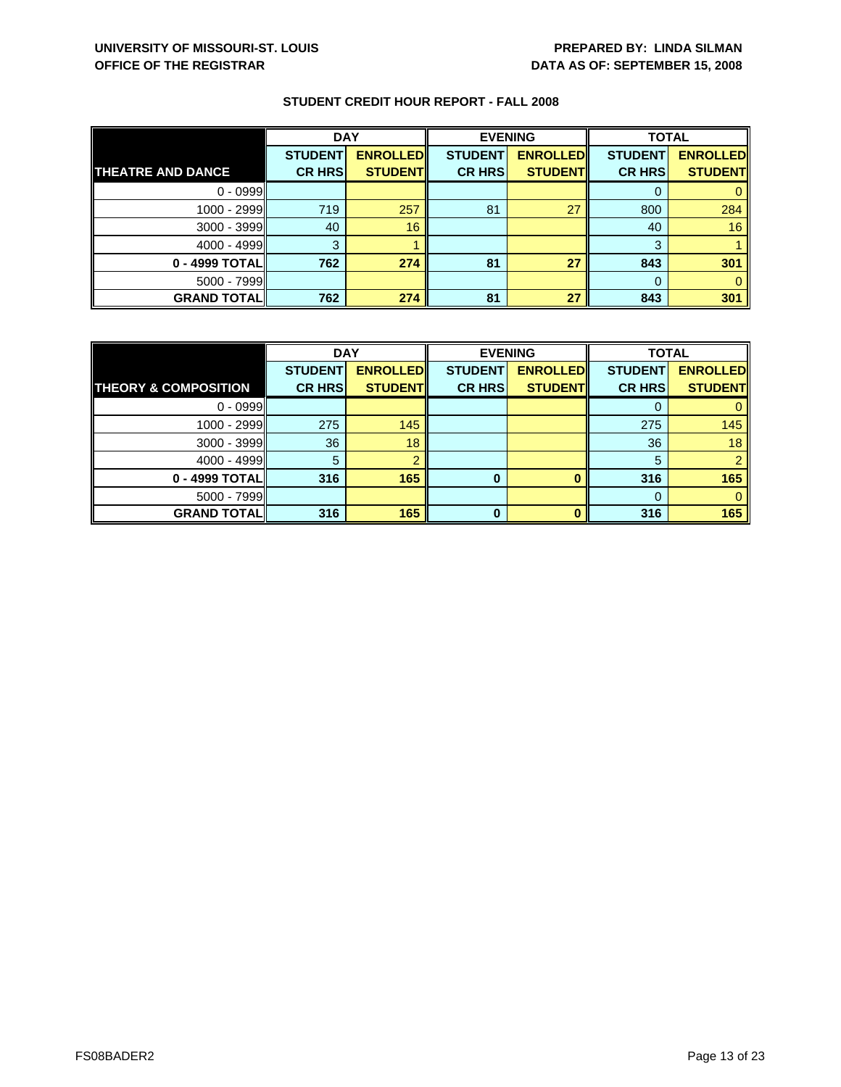|                          | <b>DAY</b>     |                 | <b>EVENING</b> |                 | <b>TOTAL</b>   |                 |
|--------------------------|----------------|-----------------|----------------|-----------------|----------------|-----------------|
|                          | <b>STUDENT</b> | <b>ENROLLED</b> | <b>STUDENT</b> | <b>ENROLLED</b> | <b>STUDENT</b> | <b>ENROLLED</b> |
| <b>THEATRE AND DANCE</b> | <b>CR HRS</b>  | <b>STUDENT</b>  | <b>CR HRS</b>  | <b>STUDENT</b>  | <b>CR HRS</b>  | <b>STUDENT</b>  |
| $0 - 0999$               |                |                 |                |                 |                |                 |
| $1000 - 2999$            | 719            | 257             | 81             | 27              | 800            | 284             |
| 3000 - 3999              | 40             | 16              |                |                 | 40             | 16              |
| $4000 - 4999$            | 3              |                 |                |                 | 3              |                 |
| 0 - 4999 TOTAL           | 762            | 274             | 81             | 27              | 843            | 301             |
| $5000 - 7999$            |                |                 |                |                 |                |                 |
| <b>GRAND TOTAL</b>       | 762            | 274             | 81             | 27              | 843            | 301             |

|                                 | <b>DAY</b>     |                 |                | <b>EVENING</b>  | <b>TOTAL</b>   |                 |
|---------------------------------|----------------|-----------------|----------------|-----------------|----------------|-----------------|
|                                 | <b>STUDENT</b> | <b>ENROLLED</b> | <b>STUDENT</b> | <b>ENROLLED</b> | <b>STUDENT</b> | <b>ENROLLED</b> |
| <b>THEORY &amp; COMPOSITION</b> | <b>CR HRS</b>  | <b>STUDENT</b>  | <b>CR HRS</b>  | <b>STUDENT</b>  | <b>CR HRS</b>  | <b>STUDENT</b>  |
| $0 - 0999$                      |                |                 |                |                 |                |                 |
| 1000 - 2999                     | 275            | 145             |                |                 | 275            | 145             |
| 3000 - 3999                     | 36             | 18              |                |                 | 36             | 18              |
| $4000 - 4999$                   | 5              |                 |                |                 | 5              |                 |
| 0 - 4999 TOTAL                  | 316            | 165             | 0              |                 | 316            | 165             |
| $5000 - 7999$                   |                |                 |                |                 | 0              |                 |
| <b>GRAND TOTAL</b>              | 316            | 165             | ŋ              |                 | 316            | 165             |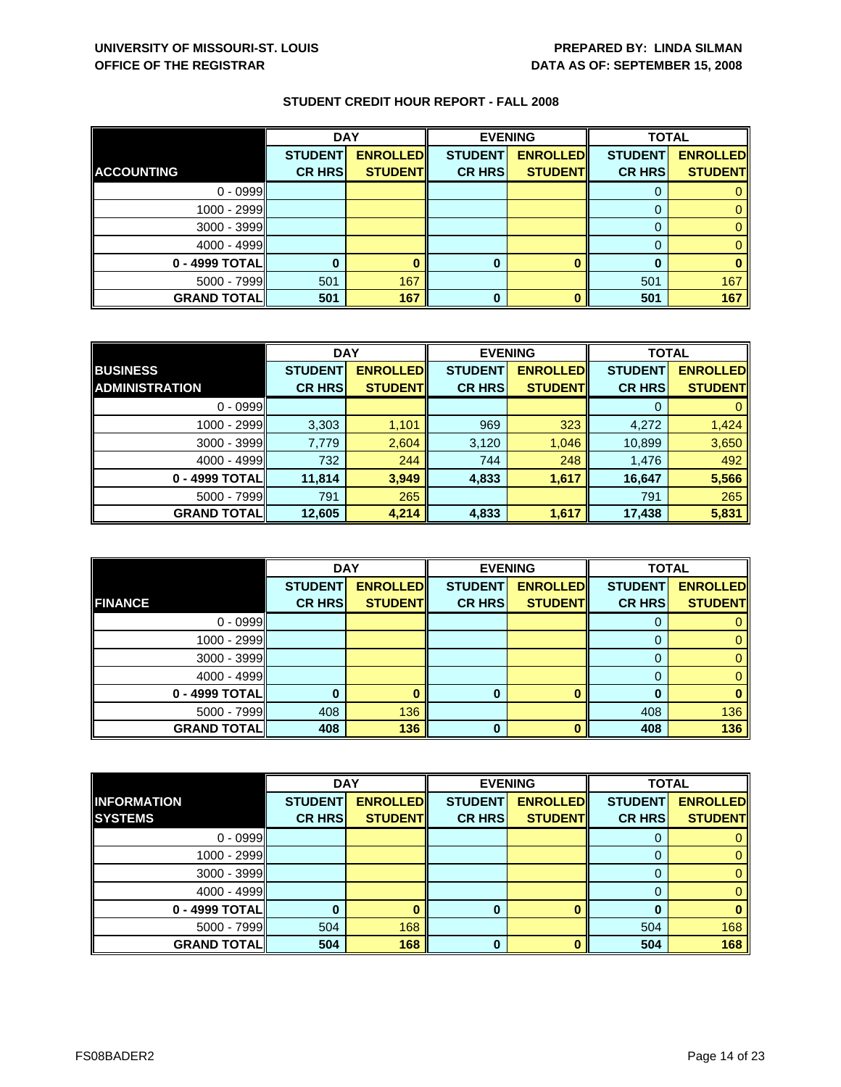|                    | <b>DAY</b>                      |                                   | <b>EVENING</b>                  |                                   | <b>TOTAL</b>                    |                                   |
|--------------------|---------------------------------|-----------------------------------|---------------------------------|-----------------------------------|---------------------------------|-----------------------------------|
| <b>ACCOUNTING</b>  | <b>STUDENT</b><br><b>CR HRS</b> | <b>ENROLLED</b><br><b>STUDENT</b> | <b>STUDENT</b><br><b>CR HRS</b> | <b>ENROLLED</b><br><b>STUDENT</b> | <b>STUDENT</b><br><b>CR HRS</b> | <b>ENROLLED</b><br><b>STUDENT</b> |
|                    |                                 |                                   |                                 |                                   |                                 |                                   |
| $0 - 0999$         |                                 |                                   |                                 |                                   |                                 |                                   |
| $1000 - 2999$      |                                 |                                   |                                 |                                   |                                 |                                   |
| $3000 - 3999$      |                                 |                                   |                                 |                                   |                                 |                                   |
| $4000 - 4999$      |                                 |                                   |                                 |                                   |                                 |                                   |
| 0 - 4999 TOTAL     |                                 |                                   | 0                               |                                   |                                 |                                   |
| $5000 - 7999$      | 501                             | 167                               |                                 |                                   | 501                             | 167                               |
| <b>GRAND TOTAL</b> | 501                             | 167                               | $\bf{0}$                        |                                   | 501                             | 167                               |

|                       | <b>DAY</b>     |                 | <b>EVENING</b> |                 | <b>TOTAL</b>   |                 |
|-----------------------|----------------|-----------------|----------------|-----------------|----------------|-----------------|
| <b>BUSINESS</b>       | <b>STUDENT</b> | <b>ENROLLED</b> | <b>STUDENT</b> | <b>ENROLLED</b> | <b>STUDENT</b> | <b>ENROLLED</b> |
| <b>ADMINISTRATION</b> | <b>CR HRS</b>  | <b>STUDENT</b>  | <b>CR HRS</b>  | <b>STUDENTI</b> | <b>CR HRS</b>  | <b>STUDENT</b>  |
| $0 - 0999$            |                |                 |                |                 |                |                 |
| 1000 - 2999           | 3,303          | 1,101           | 969            | 323             | 4,272          | 1,424           |
| $3000 - 3999$         | 7,779          | 2,604           | 3,120          | 1,046           | 10,899         | 3,650           |
| $4000 - 4999$         | 732            | 244             | 744            | 248             | 1,476          | 492             |
| 0 - 4999 TOTAL        | 11,814         | 3,949           | 4,833          | 1,617           | 16,647         | 5,566           |
| $5000 - 7999$         | 791            | 265             |                |                 | 791            | 265             |
| <b>GRAND TOTAL</b>    | 12,605         | 4,214           | 4,833          | 1,617           | 17,438         | 5,831           |

|                    | <b>DAY</b>                      |                                   |                                 | <b>EVENING</b>                    | <b>TOTAL</b>                    |                                   |
|--------------------|---------------------------------|-----------------------------------|---------------------------------|-----------------------------------|---------------------------------|-----------------------------------|
| <b>FINANCE</b>     | <b>STUDENT</b><br><b>CR HRS</b> | <b>ENROLLED</b><br><b>STUDENT</b> | <b>STUDENT</b><br><b>CR HRS</b> | <b>ENROLLED</b><br><b>STUDENT</b> | <b>STUDENT</b><br><b>CR HRS</b> | <b>ENROLLED</b><br><b>STUDENT</b> |
|                    |                                 |                                   |                                 |                                   |                                 |                                   |
| $0 - 0999$         |                                 |                                   |                                 |                                   | O                               |                                   |
| 1000 - 2999        |                                 |                                   |                                 |                                   |                                 |                                   |
| $3000 - 3999$      |                                 |                                   |                                 |                                   |                                 |                                   |
| $4000 - 4999$      |                                 |                                   |                                 |                                   | 0                               |                                   |
| 0 - 4999 TOTAL     |                                 |                                   | 0                               | n                                 |                                 |                                   |
| $5000 - 7999$      | 408                             | 136                               |                                 |                                   | 408                             | 136                               |
| <b>GRAND TOTAL</b> | 408                             | 136                               | 0                               |                                   | 408                             | 136                               |

|                    | <b>DAY</b>     |                 |                | <b>EVENING</b>  | <b>TOTAL</b>   |                 |
|--------------------|----------------|-----------------|----------------|-----------------|----------------|-----------------|
| <b>INFORMATION</b> | <b>STUDENT</b> | <b>ENROLLED</b> | <b>STUDENT</b> | <b>ENROLLED</b> | <b>STUDENT</b> | <b>ENROLLED</b> |
| <b>SYSTEMS</b>     | <b>CR HRS</b>  | <b>STUDENT</b>  | <b>CR HRS</b>  | <b>STUDENT</b>  | <b>CR HRS</b>  | <b>STUDENT</b>  |
| $0 - 0999$         |                |                 |                |                 |                |                 |
| $1000 - 2999$      |                |                 |                |                 |                | 0               |
| $3000 - 3999$      |                |                 |                |                 | 0              | 0               |
| $4000 - 4999$      |                |                 |                |                 |                | $\mathbf{0}$    |
| 0 - 4999 TOTAL     |                |                 | 0              |                 |                | 0               |
| $5000 - 7999$      | 504            | 168             |                |                 | 504            | 168             |
| <b>GRAND TOTAL</b> | 504            | 168             | $\Omega$       |                 | 504            | 168             |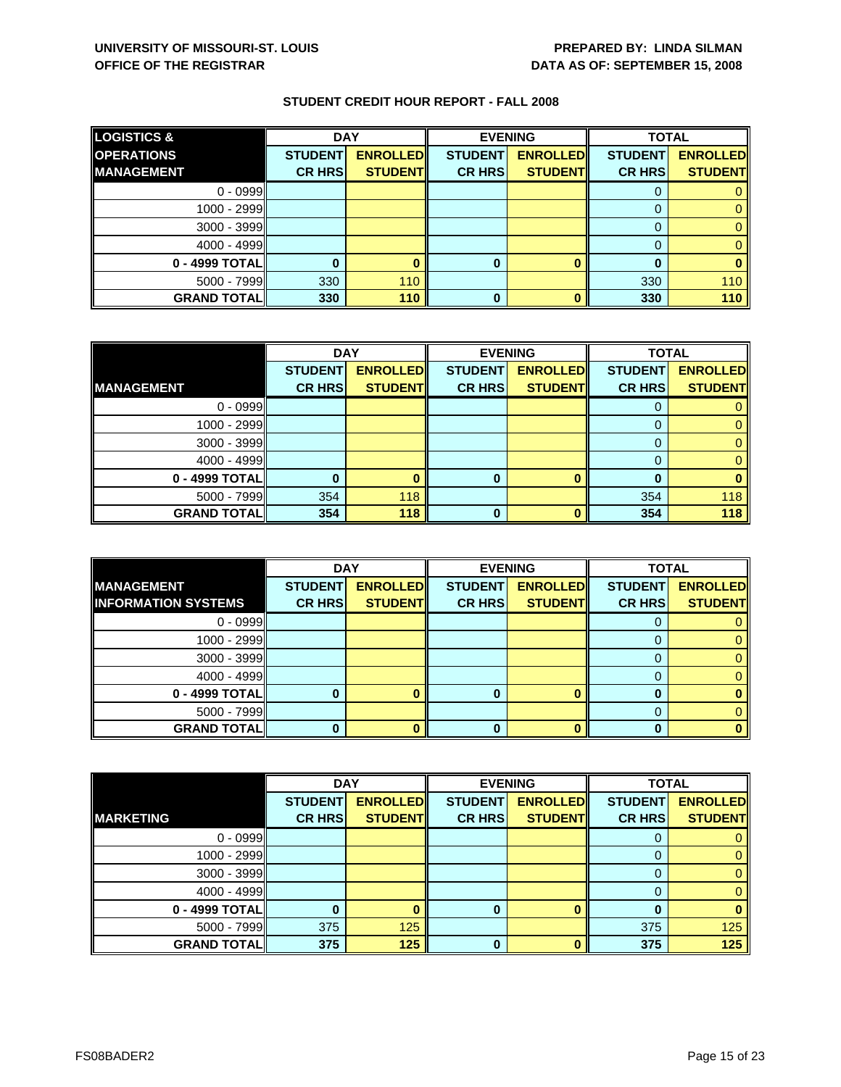| <b>LOGISTICS &amp;</b> | <b>DAY</b>     |                 | <b>EVENING</b> |                 | <b>TOTAL</b>   |                 |
|------------------------|----------------|-----------------|----------------|-----------------|----------------|-----------------|
| <b>OPERATIONS</b>      | <b>STUDENT</b> | <b>ENROLLED</b> | <b>STUDENT</b> | <b>ENROLLED</b> | <b>STUDENT</b> | <b>ENROLLED</b> |
| <b>IMANAGEMENT</b>     | <b>CR HRSI</b> | <b>STUDENT</b>  | <b>CR HRS</b>  | <b>STUDENT</b>  | <b>CR HRSI</b> | <b>STUDENT</b>  |
| $0 - 0999$             |                |                 |                |                 |                |                 |
| 1000 - 2999            |                |                 |                |                 |                |                 |
| $3000 - 3999$          |                |                 |                |                 |                |                 |
| $4000 - 4999$          |                |                 |                |                 |                |                 |
| 0 - 4999 TOTAL         |                |                 | 0              |                 |                |                 |
| 5000 - 7999            | 330            | 110             |                |                 | 330            | 110             |
| <b>GRAND TOTAL</b>     | 330            | 110             | 0              |                 | 330            | 110             |

|                    | <b>DAY</b>     |                 | <b>EVENING</b> |                 | <b>TOTAL</b>   |                 |
|--------------------|----------------|-----------------|----------------|-----------------|----------------|-----------------|
|                    | <b>STUDENT</b> | <b>ENROLLED</b> | <b>STUDENT</b> | <b>ENROLLED</b> | <b>STUDENT</b> | <b>ENROLLED</b> |
| <b>MANAGEMENT</b>  | <b>CR HRS</b>  | <b>STUDENT</b>  | <b>CR HRS</b>  | <b>STUDENT</b>  | <b>CR HRS</b>  | <b>STUDENT</b>  |
| $0 - 0999$         |                |                 |                |                 |                |                 |
| 1000 - 2999        |                |                 |                |                 | O              |                 |
| $3000 - 3999$      |                |                 |                |                 | 0              |                 |
| $4000 - 4999$      |                |                 |                |                 |                |                 |
| 0 - 4999 TOTAL     |                |                 | 0              | $\bf{0}$        | O              |                 |
| 5000 - 7999        | 354            | 118             |                |                 | 354            | 118             |
| <b>GRAND TOTAL</b> | 354            | 118             | O              | n               | 354            | 118             |

|                                                 | <b>DAY</b>     |                                   | <b>EVENING</b> |                 | <b>TOTAL</b>   |                                   |
|-------------------------------------------------|----------------|-----------------------------------|----------------|-----------------|----------------|-----------------------------------|
| <b>MANAGEMENT</b><br><b>INFORMATION SYSTEMS</b> | <b>STUDENT</b> | <b>ENROLLED</b><br><b>STUDENT</b> | <b>STUDENT</b> | <b>ENROLLED</b> | <b>STUDENT</b> | <b>ENROLLED</b><br><b>STUDENT</b> |
|                                                 | <b>CR HRS</b>  |                                   | <b>CR HRS</b>  | <b>STUDENT</b>  | <b>CR HRS</b>  |                                   |
| $0 - 0999$                                      |                |                                   |                |                 |                |                                   |
| 1000 - 2999                                     |                |                                   |                |                 |                |                                   |
| $3000 - 3999$                                   |                |                                   |                |                 |                |                                   |
| $4000 - 4999$                                   |                |                                   |                |                 |                |                                   |
| 0 - 4999 TOTAL                                  |                |                                   |                |                 |                |                                   |
| 5000 - 7999                                     |                |                                   |                |                 |                |                                   |
| <b>GRAND TOTALI</b>                             |                |                                   | O              |                 |                |                                   |

|                    | <b>DAY</b>     |                 |                | <b>EVENING</b>  | <b>TOTAL</b>   |                 |
|--------------------|----------------|-----------------|----------------|-----------------|----------------|-----------------|
|                    | <b>STUDENT</b> | <b>ENROLLED</b> | <b>STUDENT</b> | <b>ENROLLED</b> | <b>STUDENT</b> | <b>ENROLLED</b> |
| <b>MARKETING</b>   | <b>CR HRS</b>  | <b>STUDENT</b>  | <b>CR HRS</b>  | <b>STUDENT</b>  | <b>CR HRS</b>  | <b>STUDENT</b>  |
| $0 - 0999$         |                |                 |                |                 |                |                 |
| $1000 - 2999$      |                |                 |                |                 | 0              | 0               |
| $3000 - 3999$      |                |                 |                |                 | 0              | 0               |
| $4000 - 4999$      |                |                 |                |                 |                | $\mathbf{0}$    |
| 0 - 4999 TOTAL     |                |                 | 0              |                 |                | 0               |
| $5000 - 7999$      | 375            | 125             |                |                 | 375            | 125             |
| <b>GRAND TOTAL</b> | 375            | 125             | $\Omega$       |                 | 375            | 125             |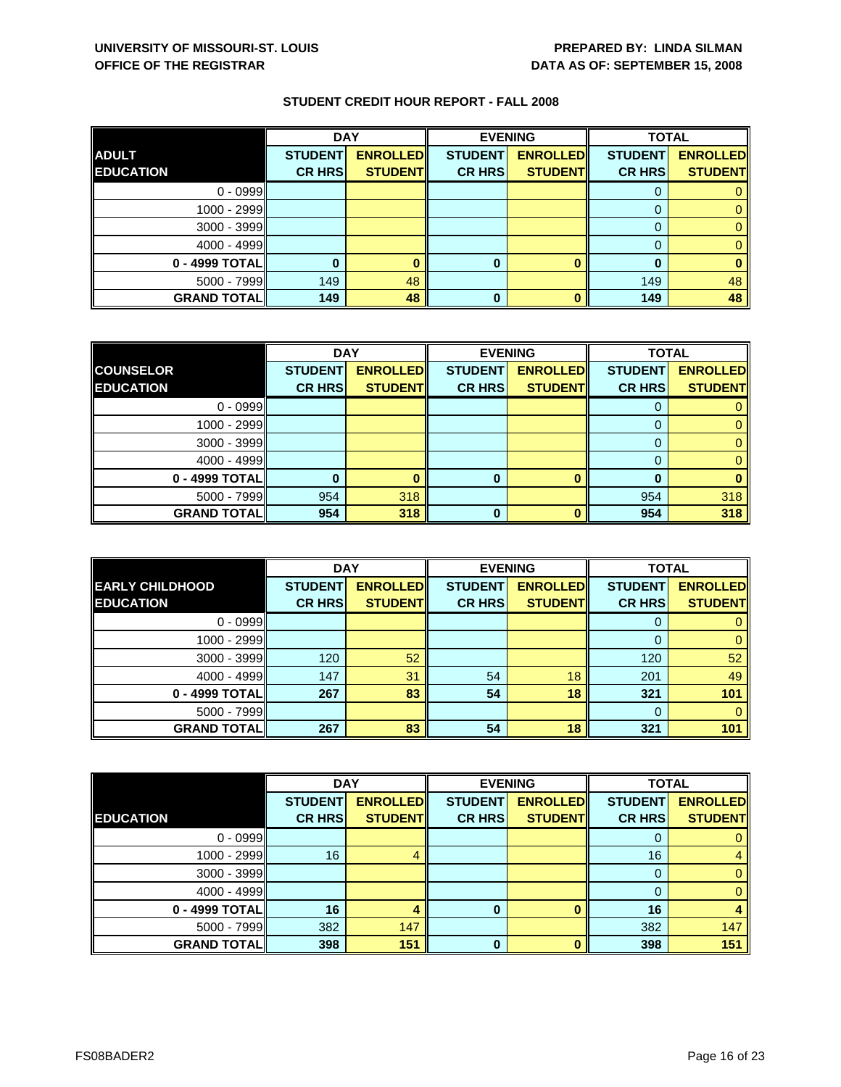|                    | <b>DAY</b>     |                 |                | <b>EVENING</b>  | <b>TOTAL</b>   |                 |
|--------------------|----------------|-----------------|----------------|-----------------|----------------|-----------------|
| <b>ADULT</b>       | <b>STUDENT</b> | <b>ENROLLED</b> | <b>STUDENT</b> | <b>ENROLLED</b> | <b>STUDENT</b> | <b>ENROLLED</b> |
| <b>EDUCATION</b>   | <b>CR HRS</b>  | <b>STUDENT</b>  | <b>CR HRS</b>  | <b>STUDENT</b>  | <b>CR HRS</b>  | <b>STUDENT</b>  |
| $0 - 0999$         |                |                 |                |                 |                |                 |
| 1000 - 2999        |                |                 |                |                 |                |                 |
| 3000 - 3999        |                |                 |                |                 |                |                 |
| $4000 - 4999$      |                |                 |                |                 |                |                 |
| 0 - 4999 TOTAL     |                |                 | 0              |                 |                |                 |
| $5000 - 7999$      | 149            | 48              |                |                 | 149            | 48              |
| <b>GRAND TOTAL</b> | 149            | 48              | 0              | O               | 149            | 48              |

|                    | <b>DAY</b>     |                 | <b>EVENING</b> |                 | <b>TOTAL</b>   |                 |
|--------------------|----------------|-----------------|----------------|-----------------|----------------|-----------------|
| <b>COUNSELOR</b>   | <b>STUDENT</b> | <b>ENROLLED</b> | <b>STUDENT</b> | <b>ENROLLED</b> | <b>STUDENT</b> | <b>ENROLLED</b> |
| <b>EDUCATION</b>   | <b>CR HRS</b>  | <b>STUDENT</b>  | <b>CR HRS</b>  | <b>STUDENT</b>  | <b>CR HRS</b>  | <b>STUDENT</b>  |
| $0 - 0999$         |                |                 |                |                 |                |                 |
| 1000 - 2999        |                |                 |                |                 |                |                 |
| $3000 - 3999$      |                |                 |                |                 |                |                 |
| $4000 - 4999$      |                |                 |                |                 |                |                 |
| 0 - 4999 TOTAL     |                |                 | 0              |                 |                |                 |
| $5000 - 7999$      | 954            | 318             |                |                 | 954            | 318             |
| <b>GRAND TOTAL</b> | 954            | 318             | O              |                 | 954            | 318             |

|                        | <b>DAY</b>     |                 |                | <b>EVENING</b>  | <b>TOTAL</b>   |                 |
|------------------------|----------------|-----------------|----------------|-----------------|----------------|-----------------|
| <b>EARLY CHILDHOOD</b> | <b>STUDENT</b> | <b>ENROLLED</b> | <b>STUDENT</b> | <b>ENROLLED</b> | <b>STUDENT</b> | <b>ENROLLED</b> |
| <b>EDUCATION</b>       | <b>CR HRS</b>  | <b>STUDENT</b>  | <b>CR HRS</b>  | <b>STUDENT</b>  | <b>CR HRS</b>  | <b>STUDENT</b>  |
| $0 - 0999$             |                |                 |                |                 | O              |                 |
| 1000 - 2999            |                |                 |                |                 | 0              | 0               |
| 3000 - 3999            | 120            | 52              |                |                 | 120            | 52              |
| $4000 - 4999$          | 147            | 31              | 54             | 18              | 201            | 49              |
| 0 - 4999 TOTAL         | 267            | 83              | 54             | 18              | 321            | 101             |
| $5000 - 7999$          |                |                 |                |                 | $\Omega$       |                 |
| <b>GRAND TOTALI</b>    | 267            | 83              | 54             | 18              | 321            | 101             |

|                    | <b>DAY</b>     |                 | <b>EVENING</b> |                 | <b>TOTAL</b>   |                 |
|--------------------|----------------|-----------------|----------------|-----------------|----------------|-----------------|
|                    | <b>STUDENT</b> | <b>ENROLLED</b> | <b>STUDENT</b> | <b>ENROLLED</b> | <b>STUDENT</b> | <b>ENROLLED</b> |
| <b>EDUCATION</b>   | <b>CR HRS</b>  | <b>STUDENT</b>  | <b>CR HRS</b>  | <b>STUDENT</b>  | <b>CR HRS</b>  | <b>STUDENT</b>  |
| $0 - 0999$         |                |                 |                |                 | 0              | 0               |
| 1000 - 2999        | 16             | 4               |                |                 | 16             | 4               |
| $3000 - 3999$      |                |                 |                |                 | 0              | $\mathbf{0}$    |
| $4000 - 4999$      |                |                 |                |                 | 0              | $\mathbf{0}$    |
| 0 - 4999 TOTAL     | 16             |                 | 0              |                 | 16             | 4               |
| 5000 - 7999        | 382            | 147             |                |                 | 382            | 147             |
| <b>GRAND TOTAL</b> | 398            | 151             | $\bf{0}$       | n               | 398            | 151             |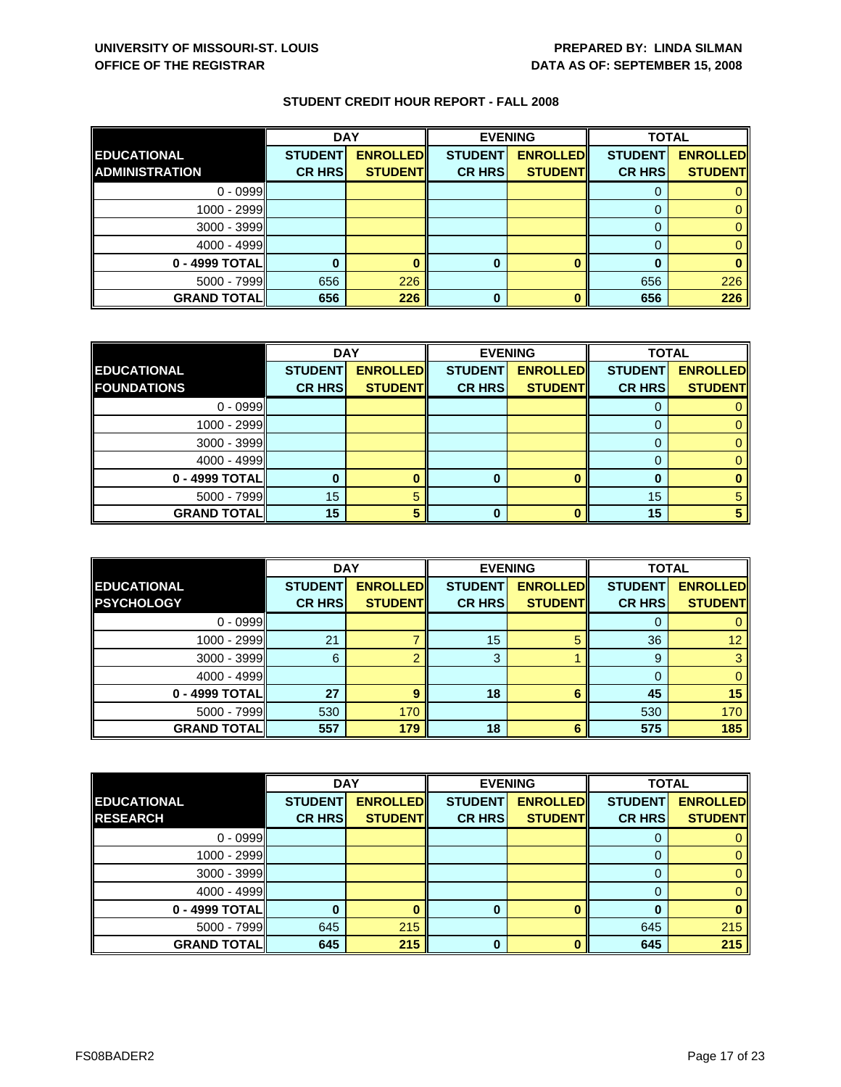|                       | <b>DAY</b>     |                 |                | <b>EVENING</b>  | <b>TOTAL</b>   |                 |
|-----------------------|----------------|-----------------|----------------|-----------------|----------------|-----------------|
| <b>EDUCATIONAL</b>    | <b>STUDENT</b> | <b>ENROLLED</b> | <b>STUDENT</b> | <b>ENROLLED</b> | <b>STUDENT</b> | <b>ENROLLED</b> |
| <b>ADMINISTRATION</b> | <b>CR HRS</b>  | <b>STUDENTI</b> | <b>CR HRS</b>  | <b>STUDENT</b>  | <b>CR HRS</b>  | <b>STUDENT</b>  |
| $0 - 0999$            |                |                 |                |                 |                |                 |
| $1000 - 2999$         |                |                 |                |                 |                |                 |
| $3000 - 3999$         |                |                 |                |                 |                |                 |
| $4000 - 4999$         |                |                 |                |                 |                |                 |
| 0 - 4999 TOTALI       |                |                 | 0              |                 |                |                 |
| $5000 - 7999$         | 656            | 226             |                |                 | 656            | 226             |
| <b>GRAND TOTAL</b>    | 656            | 226             | 0              |                 | 656            | 226             |

|                    | <b>DAY</b><br><b>EVENING</b> |                 | <b>TOTAL</b>   |                 |                |                 |
|--------------------|------------------------------|-----------------|----------------|-----------------|----------------|-----------------|
| <b>EDUCATIONAL</b> | <b>STUDENT</b>               | <b>ENROLLED</b> | <b>STUDENT</b> | <b>ENROLLED</b> | <b>STUDENT</b> | <b>ENROLLED</b> |
| <b>FOUNDATIONS</b> | <b>CR HRS</b>                | <b>STUDENT</b>  | <b>CR HRS</b>  | <b>STUDENT</b>  | <b>CR HRS</b>  | <b>STUDENT</b>  |
| $0 - 0999$         |                              |                 |                |                 |                |                 |
| 1000 - 2999        |                              |                 |                |                 |                |                 |
| $3000 - 3999$      |                              |                 |                |                 |                |                 |
| 4000 - 4999        |                              |                 |                |                 |                |                 |
| 0 - 4999 TOTAL     |                              |                 | o              |                 |                |                 |
| $5000 - 7999$      | 15                           |                 |                |                 | 15             |                 |
| <b>GRAND TOTAL</b> | 15                           |                 |                |                 | 15             |                 |

|                                         | <b>DAY</b>                      |                                    | <b>EVENING</b>                  |                                   | <b>TOTAL</b>                    |                                   |
|-----------------------------------------|---------------------------------|------------------------------------|---------------------------------|-----------------------------------|---------------------------------|-----------------------------------|
| <b>EDUCATIONAL</b><br><b>PSYCHOLOGY</b> | <b>STUDENT</b><br><b>CR HRS</b> | <b>ENROLLEDI</b><br><b>STUDENT</b> | <b>STUDENT</b><br><b>CR HRS</b> | <b>ENROLLED</b><br><b>STUDENT</b> | <b>STUDENT</b><br><b>CR HRS</b> | <b>ENROLLED</b><br><b>STUDENT</b> |
|                                         |                                 |                                    |                                 |                                   |                                 |                                   |
| $0 - 0999$                              |                                 |                                    |                                 |                                   |                                 |                                   |
| $1000 - 2999$                           | 21                              |                                    | 15                              |                                   | 36                              | 12 <sup>1</sup>                   |
| $3000 - 3999$                           | 6                               |                                    | 3                               |                                   | 9                               |                                   |
| $4000 - 4999$                           |                                 |                                    |                                 |                                   |                                 |                                   |
| 0 - 4999 TOTAL                          | 27                              |                                    | 18                              | 6                                 | 45                              | 15                                |
| $5000 - 7999$                           | 530                             | 170                                |                                 |                                   | 530                             | 170                               |
| <b>GRAND TOTALI</b>                     | 557                             | 179                                | 18                              | 6                                 | 575                             | 185                               |

|                    | <b>DAY</b>     |                 |                | <b>EVENING</b>  | <b>TOTAL</b>   |                 |
|--------------------|----------------|-----------------|----------------|-----------------|----------------|-----------------|
| <b>EDUCATIONAL</b> | <b>STUDENT</b> | <b>ENROLLED</b> | <b>STUDENT</b> | <b>ENROLLED</b> | <b>STUDENT</b> | <b>ENROLLED</b> |
| <b>RESEARCH</b>    | <b>CR HRS</b>  | <b>STUDENT</b>  | <b>CR HRS</b>  | <b>STUDENT</b>  | <b>CR HRS</b>  | <b>STUDENT</b>  |
| $0 - 0999$         |                |                 |                |                 | O              | 0               |
| 1000 - 2999        |                |                 |                |                 | 0              | $\mathbf{0}$    |
| $3000 - 3999$      |                |                 |                |                 | $\Omega$       | $\mathbf{0}$    |
| $4000 - 4999$      |                |                 |                |                 | 0              | $\mathbf{0}$    |
| 0 - 4999 TOTAL     |                |                 | 0              |                 | 0              | $\bf{0}$        |
| $5000 - 7999$      | 645            | 215             |                |                 | 645            | 215             |
| <b>GRAND TOTAL</b> | 645            | 215             | $\bf{0}$       | n               | 645            | 215             |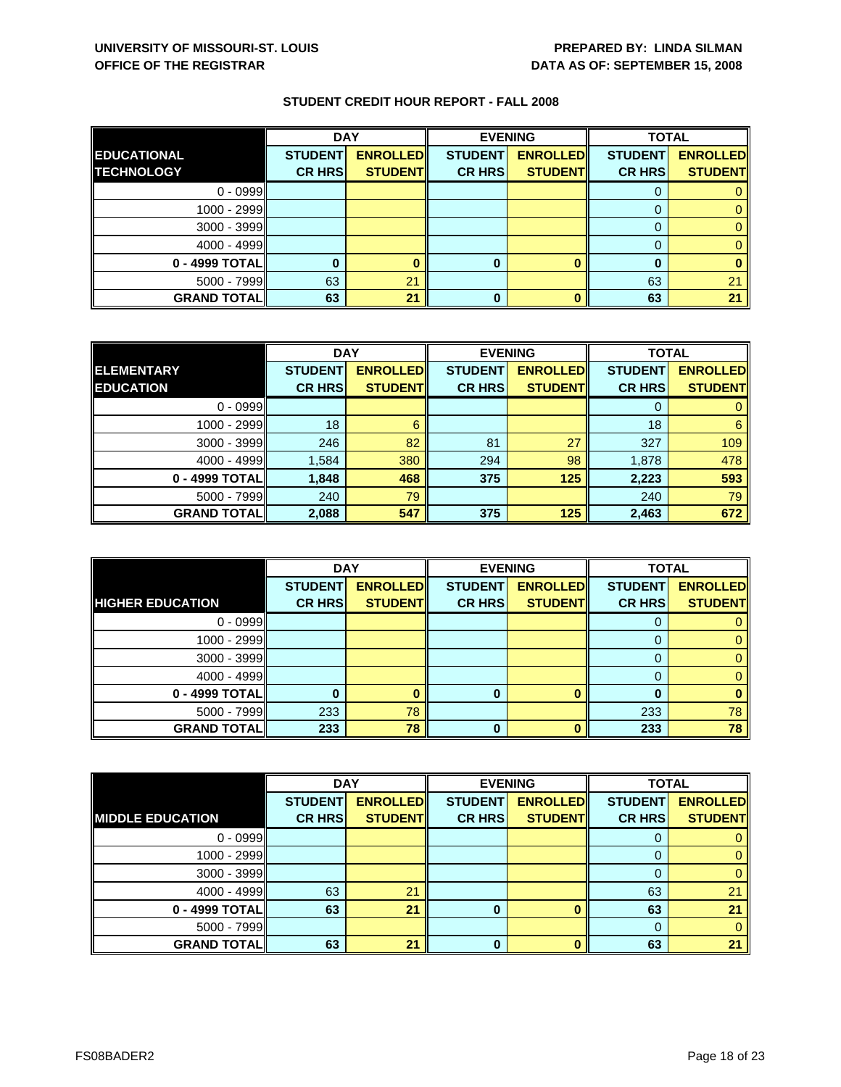|                    | <b>DAY</b>     |                 |                | <b>EVENING</b>  | <b>TOTAL</b>   |                 |
|--------------------|----------------|-----------------|----------------|-----------------|----------------|-----------------|
| <b>EDUCATIONAL</b> | <b>STUDENT</b> | <b>ENROLLED</b> | <b>STUDENT</b> | <b>ENROLLED</b> | <b>STUDENT</b> | <b>ENROLLED</b> |
| <b>TECHNOLOGY</b>  | <b>CR HRS</b>  | <b>STUDENT</b>  | <b>CR HRS</b>  | <b>STUDENT</b>  | <b>CR HRS</b>  | <b>STUDENT</b>  |
| $0 - 0999$         |                |                 |                |                 |                |                 |
| 1000 - 2999        |                |                 |                |                 |                |                 |
| 3000 - 3999        |                |                 |                |                 |                |                 |
| $4000 - 4999$      |                |                 |                |                 |                |                 |
| 0 - 4999 TOTAL     |                |                 | 0              |                 |                |                 |
| $5000 - 7999$      | 63             | 21              |                |                 | 63             | 2 <sub>1</sub>  |
| <b>GRAND TOTAL</b> | 63             | 21              |                |                 | 63             | 21              |

|                    | <b>DAY</b>     |                 | <b>EVENING</b> |                 | <b>TOTAL</b>   |                 |
|--------------------|----------------|-----------------|----------------|-----------------|----------------|-----------------|
| <b>ELEMENTARY</b>  | <b>STUDENT</b> | <b>ENROLLED</b> | <b>STUDENT</b> | <b>ENROLLED</b> | <b>STUDENT</b> | <b>ENROLLED</b> |
| <b>EDUCATION</b>   | <b>CR HRS</b>  | <b>STUDENT</b>  | <b>CR HRS</b>  | <b>STUDENT</b>  | <b>CR HRS</b>  | <b>STUDENT</b>  |
| $0 - 0999$         |                |                 |                |                 |                |                 |
| 1000 - 2999        | 18             | 6               |                |                 | 18             | 6               |
| $3000 - 3999$      | 246            | 82              | 81             | 27              | 327            | 109             |
| $4000 - 4999$      | 1,584          | 380             | 294            | 98              | 1,878          | 478             |
| 0 - 4999 TOTAL     | 1,848          | 468             | 375            | 125             | 2,223          | 593             |
| $5000 - 7999$      | 240            | 79              |                |                 | 240            | 79              |
| <b>GRAND TOTAL</b> | 2,088          | 547             | 375            | 125             | 2,463          | 672             |

|                         | <b>DAY</b>     |                 |                | <b>EVENING</b>  | <b>TOTAL</b>   |                 |
|-------------------------|----------------|-----------------|----------------|-----------------|----------------|-----------------|
|                         | <b>STUDENT</b> | <b>ENROLLED</b> | <b>STUDENT</b> | <b>ENROLLED</b> | <b>STUDENT</b> | <b>ENROLLED</b> |
| <b>HIGHER EDUCATION</b> | <b>CR HRS</b>  | <b>STUDENT</b>  | <b>CR HRS</b>  | <b>STUDENT</b>  | <b>CR HRS</b>  | <b>STUDENT</b>  |
| $0 - 0999$              |                |                 |                |                 | O              |                 |
| 1000 - 2999             |                |                 |                |                 |                |                 |
| $3000 - 3999$           |                |                 |                |                 |                |                 |
| $4000 - 4999$           |                |                 |                |                 | 0              |                 |
| 0 - 4999 TOTAL          |                |                 |                | n               |                |                 |
| $5000 - 7999$           | 233            | 78              |                |                 | 233            | 78              |
| <b>GRAND TOTALI</b>     | 233            | 78              | 0              |                 | 233            | 78              |

|                         | <b>DAY</b>     |                 | <b>EVENING</b> |                 | <b>TOTAL</b>   |                 |
|-------------------------|----------------|-----------------|----------------|-----------------|----------------|-----------------|
|                         | <b>STUDENT</b> | <b>ENROLLED</b> | <b>STUDENT</b> | <b>ENROLLED</b> | <b>STUDENT</b> | <b>ENROLLED</b> |
| <b>MIDDLE EDUCATION</b> | <b>CR HRS</b>  | <b>STUDENT</b>  | <b>CR HRS</b>  | <b>STUDENT</b>  | <b>CR HRS</b>  | <b>STUDENT</b>  |
| $0 - 0999$              |                |                 |                |                 | O              |                 |
| $1000 - 2999$           |                |                 |                |                 | 0              | 0               |
| $3000 - 3999$           |                |                 |                |                 | 0              | 0               |
| $4000 - 4999$           | 63             | 21              |                |                 | 63             | 21              |
| $0 - 4999$ TOTAL        | 63             | 21              | 0              |                 | 63             | 21              |
| $5000 - 7999$           |                |                 |                |                 | 0              | 0               |
| <b>GRAND TOTAL</b>      | 63             | 21              | ŋ              |                 | 63             | 21              |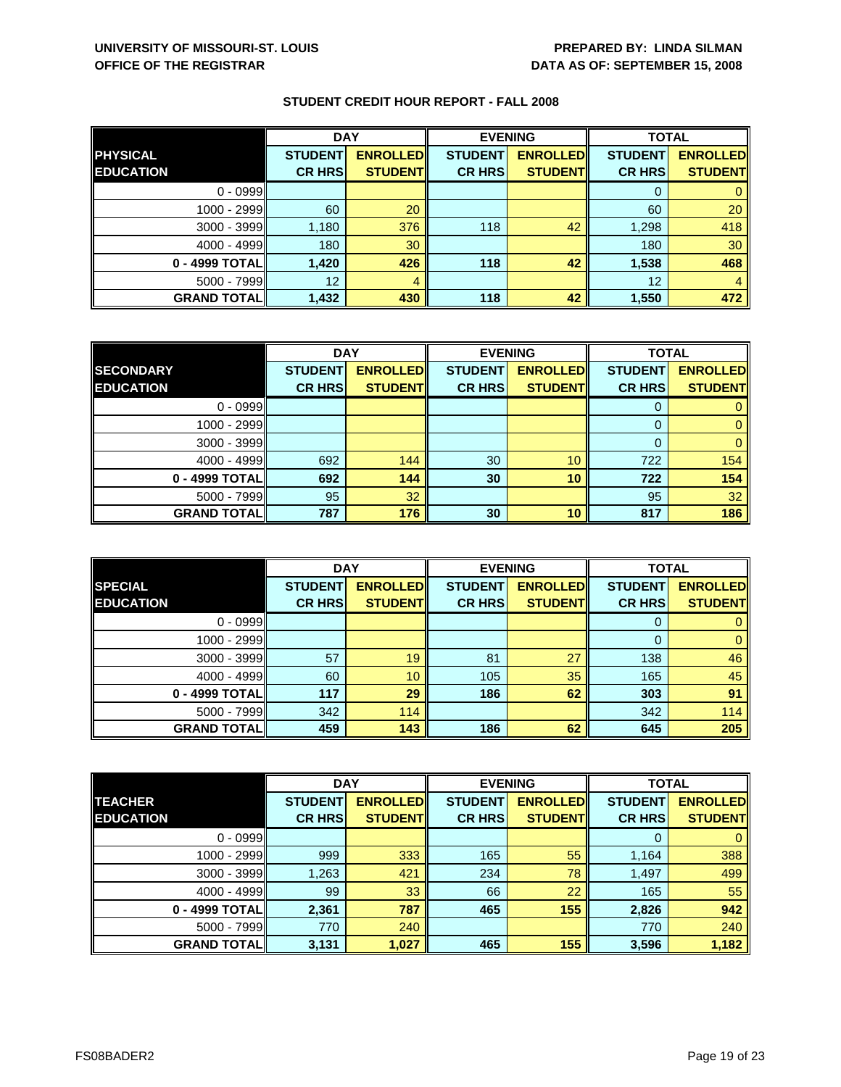|                    | <b>DAY</b>     |                 | <b>EVENING</b> |                 | <b>TOTAL</b>   |                 |
|--------------------|----------------|-----------------|----------------|-----------------|----------------|-----------------|
| <b>PHYSICAL</b>    | <b>STUDENT</b> | <b>ENROLLED</b> | <b>STUDENT</b> | <b>ENROLLED</b> | <b>STUDENT</b> | <b>ENROLLED</b> |
| <b>EDUCATION</b>   | <b>CR HRS</b>  | <b>STUDENT</b>  | <b>CR HRS</b>  | <b>STUDENT</b>  | <b>CR HRS</b>  | <b>STUDENT</b>  |
| $0 - 0999$         |                |                 |                |                 |                |                 |
| 1000 - 2999        | 60             | 20              |                |                 | 60             | 20              |
| $3000 - 3999$      | 1,180          | 376             | 118            | 42              | 1,298          | 418             |
| $4000 - 4999$      | 180            | 30              |                |                 | 180            | 30              |
| 0 - 4999 TOTAL     | 1,420          | 426             | 118            | 42              | 1,538          | 468             |
| $5000 - 7999$      | 12             | 4               |                |                 | 12             | 4               |
| <b>GRAND TOTAL</b> | 1,432          | 430             | 118            | 42              | 1,550          | 472             |

|                    | <b>DAY</b>     |                 |                | <b>EVENING</b>  |                | <b>TOTAL</b>    |  |
|--------------------|----------------|-----------------|----------------|-----------------|----------------|-----------------|--|
| <b>SECONDARY</b>   | <b>STUDENT</b> | <b>ENROLLED</b> | <b>STUDENT</b> | <b>ENROLLED</b> | <b>STUDENT</b> | <b>ENROLLED</b> |  |
| <b>EDUCATION</b>   | <b>CR HRS</b>  | <b>STUDENT</b>  | <b>CR HRS</b>  | <b>STUDENT</b>  | <b>CR HRS</b>  | <b>STUDENT</b>  |  |
| $0 - 0999$         |                |                 |                |                 |                |                 |  |
| 1000 - 2999        |                |                 |                |                 |                |                 |  |
| $3000 - 3999$      |                |                 |                |                 |                |                 |  |
| $4000 - 4999$      | 692            | 144             | 30             | 10              | 722            | 154             |  |
| 0 - 4999 TOTALI    | 692            | 144             | 30             | 10              | 722            | 154             |  |
| $5000 - 7999$      | 95             | 32              |                |                 | 95             | 32              |  |
| <b>GRAND TOTAL</b> | 787            | 176             | 30             | 10              | 817            | 186             |  |

|                    | <b>DAY</b>     |                 |                | <b>EVENING</b>  | <b>TOTAL</b>   |                 |
|--------------------|----------------|-----------------|----------------|-----------------|----------------|-----------------|
| <b>SPECIAL</b>     | <b>STUDENT</b> | <b>ENROLLED</b> | <b>STUDENT</b> | <b>ENROLLED</b> | <b>STUDENT</b> | <b>ENROLLED</b> |
| <b>EDUCATION</b>   | <b>CR HRS</b>  | <b>STUDENT</b>  | <b>CR HRS</b>  | <b>STUDENT</b>  | <b>CR HRS</b>  | <b>STUDENT</b>  |
| $0 - 0999$         |                |                 |                |                 | 0              | 0               |
| $1000 - 2999$      |                |                 |                |                 | 0              | $\mathbf{0}$    |
| $3000 - 3999$      | 57             | 19              | 81             | 27              | 138            | 46              |
| $4000 - 4999$      | 60             | 10              | 105            | 35              | 165            | 45              |
| 0 - 4999 TOTALI    | 117            | 29              | 186            | 62              | 303            | 91              |
| $5000 - 7999$      | 342            | 114             |                |                 | 342            | 114             |
| <b>GRAND TOTAL</b> | 459            | 143             | 186            | 62              | 645            | 205             |

|                    | <b>DAY</b>     |                 | <b>EVENING</b> |                 | <b>TOTAL</b>   |                 |
|--------------------|----------------|-----------------|----------------|-----------------|----------------|-----------------|
| <b>TEACHER</b>     | <b>STUDENT</b> | <b>ENROLLED</b> | <b>STUDENT</b> | <b>ENROLLED</b> | <b>STUDENT</b> | <b>ENROLLED</b> |
| <b>EDUCATION</b>   | <b>CR HRS</b>  | <b>STUDENT</b>  | <b>CR HRS</b>  | <b>STUDENT</b>  | <b>CR HRS</b>  | <b>STUDENT</b>  |
| $0 - 0999$         |                |                 |                |                 | 0              | $\mathbf{0}$    |
| 1000 - 2999        | 999            | 333             | 165            | 55              | 1,164          | 388             |
| 3000 - 3999        | 1,263          | 421             | 234            | 78              | 1,497          | 499             |
| $4000 - 4999$      | 99             | 33              | 66             | 22              | 165            | 55              |
| 0 - 4999 TOTAL     | 2,361          | 787             | 465            | 155             | 2,826          | 942             |
| $5000 - 7999$      | 770            | 240             |                |                 | 770            | 240             |
| <b>GRAND TOTAL</b> | 3,131          | 1,027           | 465            | 155             | 3,596          | 1,182           |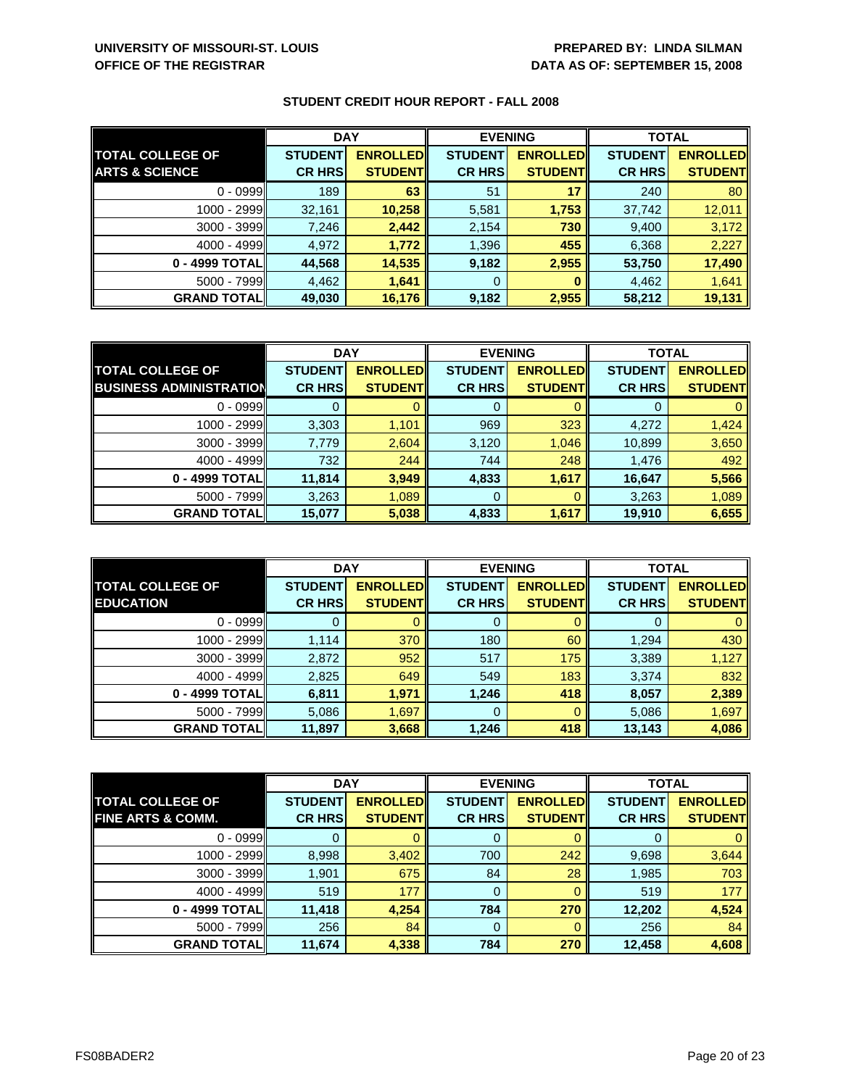|                           | <b>DAY</b>     |                 | <b>EVENING</b> |                 | <b>TOTAL</b>   |                 |
|---------------------------|----------------|-----------------|----------------|-----------------|----------------|-----------------|
| <b>TOTAL COLLEGE OF</b>   | <b>STUDENT</b> | <b>ENROLLED</b> | <b>STUDENT</b> | <b>ENROLLED</b> | <b>STUDENT</b> | <b>ENROLLED</b> |
| <b>ARTS &amp; SCIENCE</b> | <b>CR HRS</b>  | <b>STUDENTI</b> | <b>CR HRS</b>  | <b>STUDENT</b>  | <b>CR HRS</b>  | <b>STUDENT</b>  |
| $0 - 0999$                | 189            | 63              | 51             | 17              | 240            | 80              |
| 1000 - 2999               | 32,161         | 10,258          | 5,581          | 1,753           | 37,742         | 12,011          |
| $3000 - 3999$             | 7,246          | 2,442           | 2,154          | 730             | 9,400          | 3,172           |
| $4000 - 4999$             | 4,972          | 1,772           | 1,396          | 455             | 6,368          | 2,227           |
| 0 - 4999 TOTAL            | 44,568         | 14,535          | 9,182          | 2,955           | 53,750         | 17,490          |
| $5000 - 7999$             | 4,462          | 1,641           | 0              |                 | 4,462          | 1,641           |
| <b>GRAND TOTALI</b>       | 49,030         | 16,176          | 9,182          | 2,955           | 58,212         | 19,131          |

|                                | <b>DAY</b>     |                 | <b>EVENING</b> |                 | <b>TOTAL</b>   |                 |
|--------------------------------|----------------|-----------------|----------------|-----------------|----------------|-----------------|
| <b>TOTAL COLLEGE OF</b>        | <b>STUDENT</b> | <b>ENROLLED</b> | <b>STUDENT</b> | <b>ENROLLED</b> | <b>STUDENT</b> | <b>ENROLLED</b> |
| <b>BUSINESS ADMINISTRATION</b> | <b>CR HRS</b>  | <b>STUDENT</b>  | <b>CR HRS</b>  | <b>STUDENT</b>  | <b>CR HRS</b>  | <b>STUDENT</b>  |
| $0 - 0999$                     |                |                 |                |                 |                |                 |
| 1000 - 2999                    | 3,303          | 1,101           | 969            | 323             | 4,272          | 1,424           |
| 3000 - 3999                    | 7,779          | 2,604           | 3,120          | 1,046           | 10,899         | 3,650           |
| $4000 - 4999$                  | 732            | 244             | 744            | 248             | 1,476          | 492             |
| 0 - 4999 TOTAL                 | 11,814         | 3,949           | 4,833          | 1,617           | 16,647         | 5,566           |
| $5000 - 7999$                  | 3,263          | 1,089           | 0              |                 | 3,263          | 1,089           |
| <b>GRAND TOTAL</b>             | 15,077         | 5,038           | 4,833          | 1,617           | 19,910         | 6,655           |

|                                             | <b>DAY</b>                      |                                   | <b>EVENING</b>                  |                                    | <b>TOTAL</b>                    |                                   |
|---------------------------------------------|---------------------------------|-----------------------------------|---------------------------------|------------------------------------|---------------------------------|-----------------------------------|
| <b>TOTAL COLLEGE OF</b><br><b>EDUCATION</b> | <b>STUDENT</b><br><b>CR HRS</b> | <b>ENROLLED</b><br><b>STUDENT</b> | <b>STUDENT</b><br><b>CR HRS</b> | <b>ENROLLED</b><br><b>STUDENTI</b> | <b>STUDENT</b><br><b>CR HRS</b> | <b>ENROLLED</b><br><b>STUDENT</b> |
| $0 - 0999$                                  |                                 |                                   |                                 |                                    |                                 |                                   |
|                                             |                                 |                                   | 0                               |                                    |                                 |                                   |
| 1000 - 2999                                 | 1,114                           | 370                               | 180                             | 60                                 | 1,294                           | 430                               |
| 3000 - 3999                                 | 2,872                           | 952                               | 517                             | 175                                | 3,389                           | 1,127                             |
| $4000 - 4999$                               | 2,825                           | 649                               | 549                             | 183                                | 3,374                           | 832                               |
| 0 - 4999 TOTAL                              | 6,811                           | 1,971                             | 1,246                           | 418                                | 8,057                           | 2,389                             |
| $5000 - 7999$                               | 5.086                           | 1,697                             | 0                               |                                    | 5,086                           | 1,697                             |
| <b>GRAND TOTAL</b>                          | 11,897                          | 3,668                             | 1,246                           | 418                                | 13,143                          | 4,086                             |

|                              | <b>DAY</b>     |                 | <b>EVENING</b> |                 | <b>TOTAL</b>   |                 |
|------------------------------|----------------|-----------------|----------------|-----------------|----------------|-----------------|
| <b>TOTAL COLLEGE OF</b>      | <b>STUDENT</b> | <b>ENROLLED</b> | <b>STUDENT</b> | <b>ENROLLED</b> | <b>STUDENT</b> | <b>ENROLLED</b> |
| <b>FINE ARTS &amp; COMM.</b> | <b>CR HRS</b>  | <b>STUDENT</b>  | <b>CR HRS</b>  | <b>STUDENT</b>  | <b>CR HRS</b>  | <b>STUDENT</b>  |
| $0 - 0999$                   |                |                 | 0              |                 |                | $\mathbf{0}$    |
| 1000 - 2999                  | 8,998          | 3,402           | 700            | 242             | 9,698          | 3,644           |
| 3000 - 3999                  | 1,901          | 675             | 84             | 28              | 1,985          | 703             |
| $4000 - 4999$                | 519            | 177             | 0              |                 | 519            | 177             |
| 0 - 4999 TOTAL               | 11,418         | 4,254           | 784            | 270             | 12,202         | 4,524           |
| $5000 - 7999$                | 256            | 84              | 0              |                 | 256            | 84              |
| <b>GRAND TOTAL</b>           | 11,674         | 4,338           | 784            | 270             | 12,458         | 4,608           |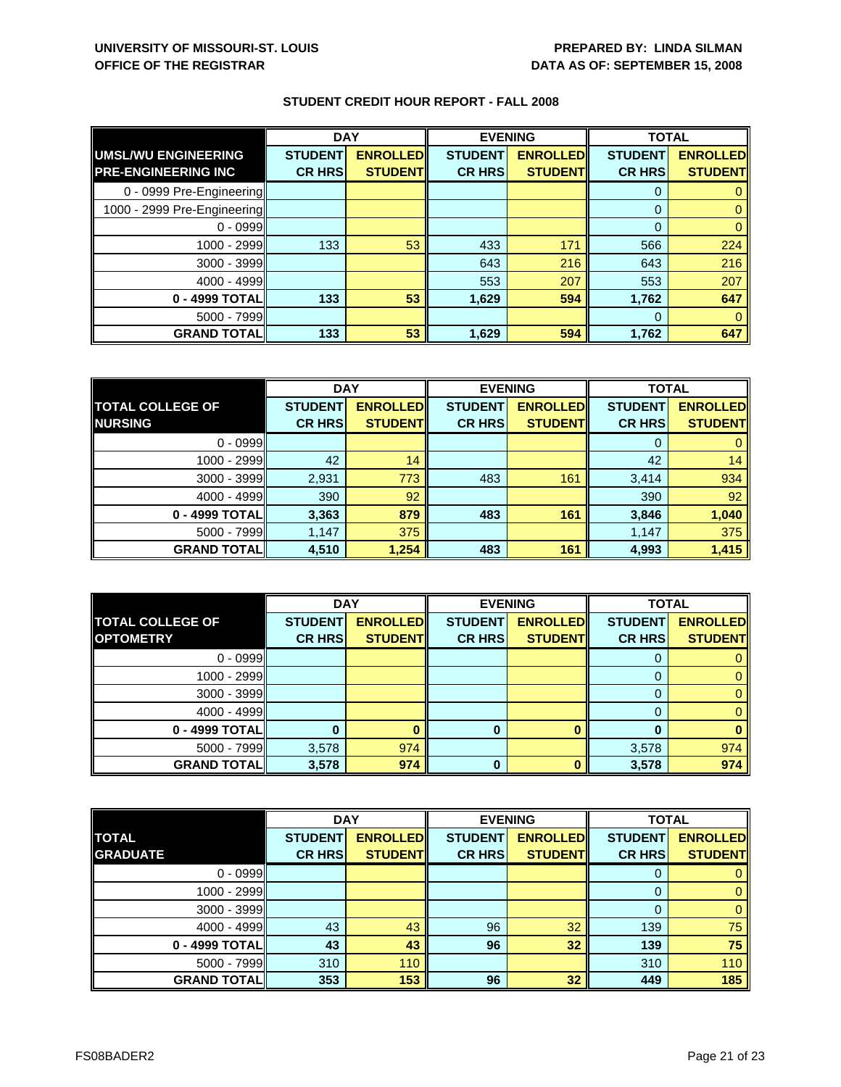|                                                   | <b>DAY</b>                      |                                   | <b>EVENING</b>                  |                                   | <b>TOTAL</b>                    |                                   |
|---------------------------------------------------|---------------------------------|-----------------------------------|---------------------------------|-----------------------------------|---------------------------------|-----------------------------------|
| UMSL/WU ENGINEERING<br><b>PRE-ENGINEERING INC</b> | <b>STUDENT</b><br><b>CR HRS</b> | <b>ENROLLED</b><br><b>STUDENT</b> | <b>STUDENT</b><br><b>CR HRS</b> | <b>ENROLLED</b><br><b>STUDENT</b> | <b>STUDENT</b><br><b>CR HRS</b> | <b>ENROLLED</b><br><b>STUDENT</b> |
| 0 - 0999 Pre-Engineering                          |                                 |                                   |                                 |                                   | 0                               |                                   |
| 1000 - 2999 Pre-Engineering                       |                                 |                                   |                                 |                                   | 0                               |                                   |
| $0 - 0999$                                        |                                 |                                   |                                 |                                   | 0                               |                                   |
| $1000 - 2999$                                     | 133                             | 53                                | 433                             | 171                               | 566                             | 224                               |
| 3000 - 3999                                       |                                 |                                   | 643                             | 216                               | 643                             | 216                               |
| $4000 - 4999$                                     |                                 |                                   | 553                             | 207                               | 553                             | 207                               |
| 0 - 4999 TOTAL                                    | 133                             | 53                                | 1,629                           | 594                               | 1,762                           | 647                               |
| $5000 - 7999$                                     |                                 |                                   |                                 |                                   | $\Omega$                        |                                   |
| <b>GRAND TOTALI</b>                               | 133                             | 53                                | 1,629                           | 594                               | 1,762                           | 647                               |

|                         | <b>DAY</b>     |                 | <b>EVENING</b> |                 | <b>TOTAL</b>   |                 |
|-------------------------|----------------|-----------------|----------------|-----------------|----------------|-----------------|
| <b>TOTAL COLLEGE OF</b> | <b>STUDENT</b> | <b>ENROLLED</b> | <b>STUDENT</b> | <b>ENROLLED</b> | <b>STUDENT</b> | <b>ENROLLED</b> |
| <b>NURSING</b>          | <b>CR HRS</b>  | <b>STUDENT</b>  | <b>CR HRS</b>  | <b>STUDENT</b>  | <b>CR HRS</b>  | <b>STUDENT</b>  |
| $0 - 0999$              |                |                 |                |                 | 0              |                 |
| $1000 - 2999$           | 42             | 14              |                |                 | 42             | 14              |
| $3000 - 3999$           | 2,931          | 773             | 483            | 161             | 3,414          | 934             |
| $4000 - 4999$           | 390            | 92              |                |                 | 390            | 92              |
| 0 - 4999 TOTAL          | 3,363          | 879             | 483            | 161             | 3,846          | 1,040           |
| $5000 - 7999$           | 1,147          | 375             |                |                 | 1,147          | 375             |
| <b>GRAND TOTALI</b>     | 4,510          | 1,254           | 483            | 161             | 4,993          | 1,415           |

|                                             | <b>DAY</b>     |                 | <b>EVENING</b> |                 | <b>TOTAL</b>   |                 |
|---------------------------------------------|----------------|-----------------|----------------|-----------------|----------------|-----------------|
| <b>TOTAL COLLEGE OF</b><br><b>OPTOMETRY</b> | <b>STUDENT</b> | <b>ENROLLED</b> | <b>STUDENT</b> | <b>ENROLLED</b> | <b>STUDENT</b> | <b>ENROLLED</b> |
|                                             | <b>CR HRS</b>  | <b>STUDENT</b>  | <b>CR HRS</b>  | <b>STUDENT</b>  | <b>CR HRS</b>  | <b>STUDENT</b>  |
| $0 - 0999$                                  |                |                 |                |                 |                |                 |
| 1000 - 2999                                 |                |                 |                |                 |                |                 |
| 3000 - 3999                                 |                |                 |                |                 |                |                 |
| $4000 - 4999$                               |                |                 |                |                 |                |                 |
| 0 - 4999 TOTAL                              |                |                 | 0              |                 |                |                 |
| $5000 - 7999$                               | 3,578          | 974             |                |                 | 3,578          | 974             |
| <b>GRAND TOTAL</b>                          | 3,578          | 974             | 0              |                 | 3,578          | 974             |

|                    | <b>DAY</b>     |                 | <b>EVENING</b> |                 | <b>TOTAL</b>   |                 |
|--------------------|----------------|-----------------|----------------|-----------------|----------------|-----------------|
| <b>TOTAL</b>       | <b>STUDENT</b> | <b>ENROLLED</b> | <b>STUDENT</b> | <b>ENROLLED</b> | <b>STUDENT</b> | <b>ENROLLED</b> |
| <b>GRADUATE</b>    | <b>CR HRS</b>  | <b>STUDENTI</b> | <b>CR HRS</b>  | <b>STUDENT</b>  | <b>CR HRS</b>  | <b>STUDENT</b>  |
| $0 - 0999$         |                |                 |                |                 |                |                 |
| 1000 - 2999        |                |                 |                |                 |                | 0               |
| 3000 - 3999        |                |                 |                |                 |                | 0               |
| $4000 - 4999$      | 43             | 43              | 96             | 32              | 139            | 75              |
| 0 - 4999 TOTAL     | 43             | 43              | 96             | 32              | 139            | 75              |
| $5000 - 7999$      | 310            | 110             |                |                 | 310            | 110             |
| <b>GRAND TOTAL</b> | 353            | 153             | 96             | 32              | 449            | 185             |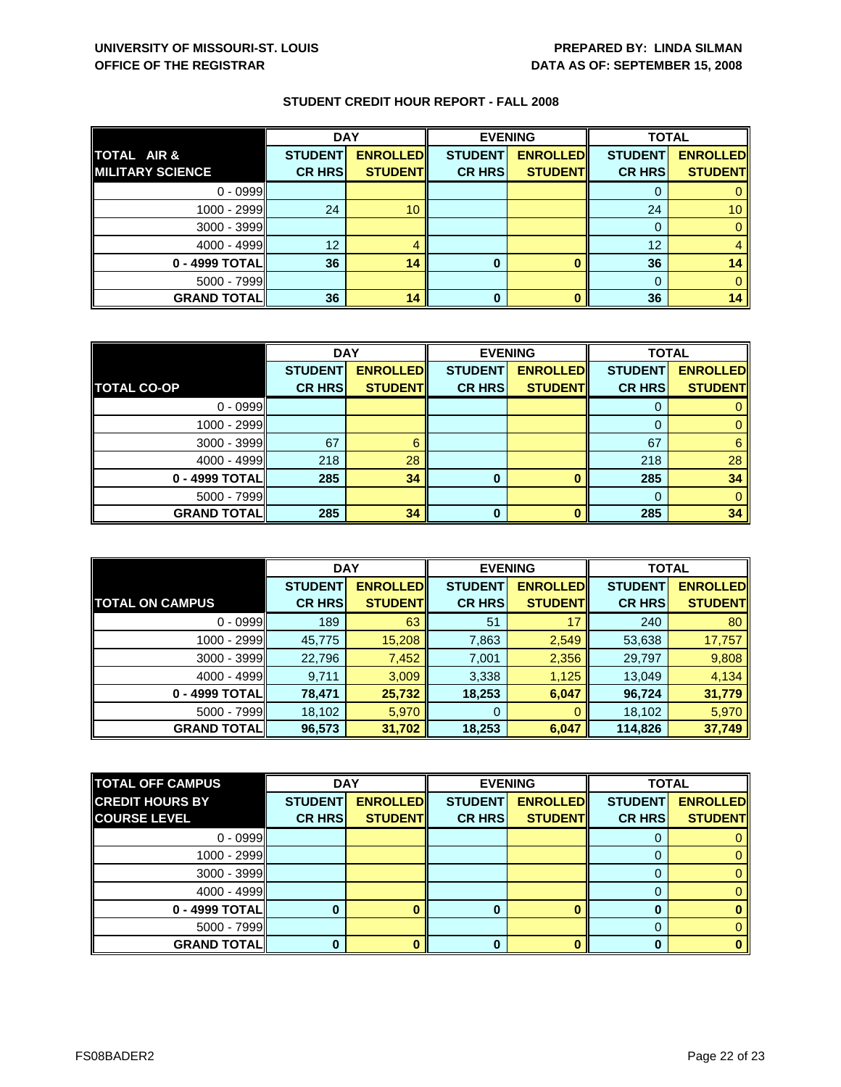|                         | <b>DAY</b>     |                 |                | <b>EVENING</b>  | <b>TOTAL</b>   |                 |
|-------------------------|----------------|-----------------|----------------|-----------------|----------------|-----------------|
| TOTAL AIR &             | <b>STUDENT</b> | <b>ENROLLED</b> | <b>STUDENT</b> | <b>ENROLLED</b> | <b>STUDENT</b> | <b>ENROLLED</b> |
| <b>MILITARY SCIENCE</b> | <b>CR HRS</b>  | <b>STUDENT</b>  | <b>CR HRS</b>  | <b>STUDENT</b>  | <b>CR HRS</b>  | <b>STUDENT</b>  |
| $0 - 0999$              |                |                 |                |                 |                |                 |
| 1000 - 2999             | 24             | 10 <sup>1</sup> |                |                 | 24             | 10 <sup>1</sup> |
| $3000 - 3999$           |                |                 |                |                 |                |                 |
| $4000 - 4999$           | 12             |                 |                |                 | 12             |                 |
| 0 - 4999 TOTAL          | 36             | 14              | 0              |                 | 36             | 14              |
| $5000 - 7999$           |                |                 |                |                 |                |                 |
| <b>GRAND TOTAL</b>      | 36             | 14              | 0              |                 | 36             | 14              |

|                    | <b>DAY</b>     |                 | <b>EVENING</b> |                 | <b>TOTAL</b>   |                 |
|--------------------|----------------|-----------------|----------------|-----------------|----------------|-----------------|
|                    | <b>STUDENT</b> | <b>ENROLLED</b> | <b>STUDENT</b> | <b>ENROLLED</b> | <b>STUDENT</b> | <b>ENROLLED</b> |
| <b>TOTAL CO-OP</b> | <b>CR HRS</b>  | <b>STUDENT</b>  | <b>CR HRS</b>  | <b>STUDENT</b>  | <b>CR HRS</b>  | <b>STUDENT</b>  |
| $0 - 0999$         |                |                 |                |                 |                |                 |
| $1000 - 2999$      |                |                 |                |                 |                |                 |
| $3000 - 3999$      | 67             |                 |                |                 | 67             |                 |
| $4000 - 4999$      | 218            | 28              |                |                 | 218            | 28              |
| $0 - 4999$ TOTAL   | 285            | 34              | 0              |                 | 285            | 34              |
| $5000 - 7999$      |                |                 |                |                 |                |                 |
| <b>GRAND TOTAL</b> | 285            | 34              | O              |                 | 285            | 34              |

|                        | <b>DAY</b>     |                 | <b>EVENING</b> |                 | <b>TOTAL</b>   |                 |
|------------------------|----------------|-----------------|----------------|-----------------|----------------|-----------------|
|                        | <b>STUDENT</b> | <b>ENROLLED</b> | <b>STUDENT</b> | <b>ENROLLED</b> | <b>STUDENT</b> | <b>ENROLLED</b> |
| <b>TOTAL ON CAMPUS</b> | <b>CR HRS</b>  | <b>STUDENT</b>  | <b>CR HRS</b>  | <b>STUDENT</b>  | <b>CR HRS</b>  | <b>STUDENT</b>  |
| $0 - 0999$             | 189            | 63              | 51             | 17              | 240            | 80              |
| 1000 - 2999            | 45,775         | 15,208          | 7,863          | 2,549           | 53,638         | 17,757          |
| $3000 - 3999$          | 22,796         | 7,452           | 7,001          | 2,356           | 29,797         | 9,808           |
| $4000 - 4999$          | 9,711          | 3,009           | 3,338          | 1,125           | 13,049         | 4,134           |
| $0 - 4999$ TOTAL       | 78,471         | 25,732          | 18,253         | 6,047           | 96,724         | 31,779          |
| $5000 - 7999$          | 18,102         | 5,970           | 0              |                 | 18,102         | 5,970           |
| <b>GRAND TOTALI</b>    | 96,573         | 31,702          | 18,253         | 6,047           | 114,826        | 37,749          |

| <b>TOTAL OFF CAMPUS</b> | <b>DAY</b>     |                 |                | <b>EVENING</b>  | <b>TOTAL</b>   |                 |
|-------------------------|----------------|-----------------|----------------|-----------------|----------------|-----------------|
| <b>CREDIT HOURS BY</b>  | <b>STUDENT</b> | <b>ENROLLED</b> | <b>STUDENT</b> | <b>ENROLLED</b> | <b>STUDENT</b> | <b>ENROLLED</b> |
| <b>COURSE LEVEL</b>     | <b>CR HRS</b>  | <b>STUDENT</b>  | <b>CR HRS</b>  | <b>STUDENT</b>  | <b>CR HRS</b>  | <b>STUDENT</b>  |
| $0 - 0999$              |                |                 |                |                 |                |                 |
| $1000 - 2999$           |                |                 |                |                 |                |                 |
| $3000 - 3999$           |                |                 |                |                 |                |                 |
| $4000 - 4999$           |                |                 |                |                 |                |                 |
| 0 - 4999 TOTAL          |                |                 | 0              |                 |                |                 |
| $5000 - 7999$           |                |                 |                |                 |                |                 |
| <b>GRAND TOTAL</b>      |                |                 | U              |                 |                |                 |